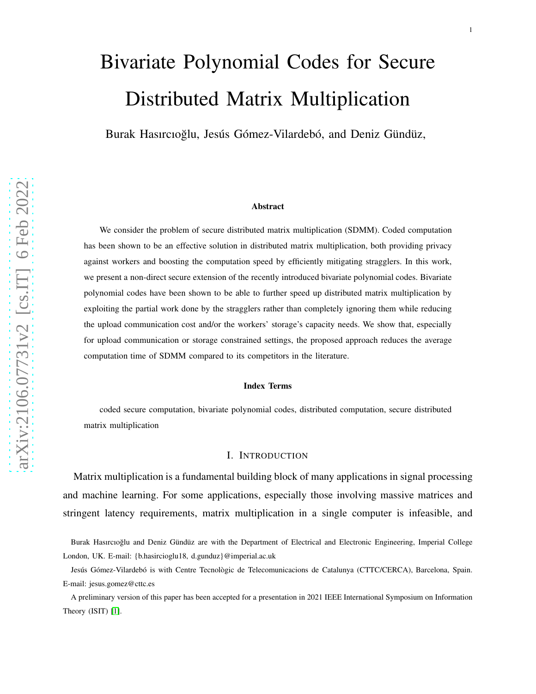# Bivariate Polynomial Codes for Secure Distributed Matrix Multiplication

Burak Hasırcıoğlu, Jesús Gómez-Vilardebó, and Deniz Gündüz,

#### Abstract

We consider the problem of secure distributed matrix multiplication (SDMM). Coded computation has been shown to be an effective solution in distributed matrix multiplication, both providing privacy against workers and boosting the computation speed by efficiently mitigating stragglers. In this work, we present a non-direct secure extension of the recently introduced bivariate polynomial codes. Bivariate polynomial codes have been shown to be able to further speed up distributed matrix multiplication by exploiting the partial work done by the stragglers rather than completely ignoring them while reducing the upload communication cost and/or the workers' storage's capacity needs. We show that, especially for upload communication or storage constrained settings, the proposed approach reduces the average computation time of SDMM compared to its competitors in the literature.

#### Index Terms

coded secure computation, bivariate polynomial codes, distributed computation, secure distributed matrix multiplication

#### I. INTRODUCTION

Matrix multiplication is a fundamental building block of many applications in signal processing and machine learning. For some applications, especially those involving massive matrices and stringent latency requirements, matrix multiplication in a single computer is infeasible, and

Burak Hasırcıoğlu and Deniz Gündüz are with the Department of Electrical and Electronic Engineering, Imperial College London, UK. E-mail: {b.hasircioglu18, d.gunduz}@imperial.ac.uk

Jesús Gómez-Vilardebó is with Centre Tecnològic de Telecomunicacions de Catalunya (CTTC/CERCA), Barcelona, Spain. E-mail: jesus.gomez@cttc.es

A preliminary version of this paper has been accepted for a presentation in 2021 IEEE International Symposium on Information Theory (ISIT) [\[1\]](#page-29-0).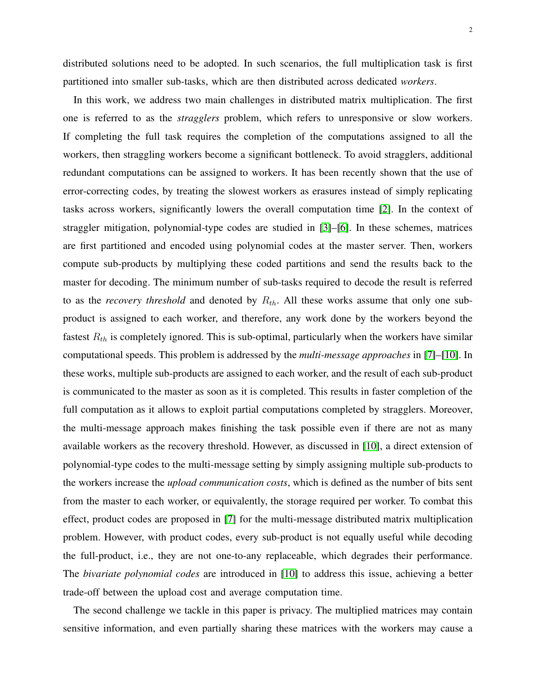In this work, we address two main challenges in distributed matrix multiplication. The first one is referred to as the *stragglers* problem, which refers to unresponsive or slow workers. If completing the full task requires the completion of the computations assigned to all the workers, then straggling workers become a significant bottleneck. To avoid stragglers, additional redundant computations can be assigned to workers. It has been recently shown that the use of error-correcting codes, by treating the slowest workers as erasures instead of simply replicating tasks across workers, significantly lowers the overall computation time [\[2\]](#page-29-1). In the context of straggler mitigation, polynomial-type codes are studied in [\[3\]](#page-29-2)–[\[6\]](#page-30-0). In these schemes, matrices are first partitioned and encoded using polynomial codes at the master server. Then, workers compute sub-products by multiplying these coded partitions and send the results back to the master for decoding. The minimum number of sub-tasks required to decode the result is referred to as the *recovery threshold* and denoted by  $R_{th}$ . All these works assume that only one subproduct is assigned to each worker, and therefore, any work done by the workers beyond the fastest  $R_{th}$  is completely ignored. This is sub-optimal, particularly when the workers have similar computational speeds. This problem is addressed by the *multi-message approaches* in [\[7\]](#page-30-1)–[\[10\]](#page-30-2). In these works, multiple sub-products are assigned to each worker, and the result of each sub-product is communicated to the master as soon as it is completed. This results in faster completion of the full computation as it allows to exploit partial computations completed by stragglers. Moreover, the multi-message approach makes finishing the task possible even if there are not as many available workers as the recovery threshold. However, as discussed in [\[10\]](#page-30-2), a direct extension of polynomial-type codes to the multi-message setting by simply assigning multiple sub-products to the workers increase the *upload communication costs*, which is defined as the number of bits sent from the master to each worker, or equivalently, the storage required per worker. To combat this effect, product codes are proposed in [\[7\]](#page-30-1) for the multi-message distributed matrix multiplication problem. However, with product codes, every sub-product is not equally useful while decoding the full-product, i.e., they are not one-to-any replaceable, which degrades their performance. The *bivariate polynomial codes* are introduced in [\[10\]](#page-30-2) to address this issue, achieving a better trade-off between the upload cost and average computation time.

The second challenge we tackle in this paper is privacy. The multiplied matrices may contain sensitive information, and even partially sharing these matrices with the workers may cause a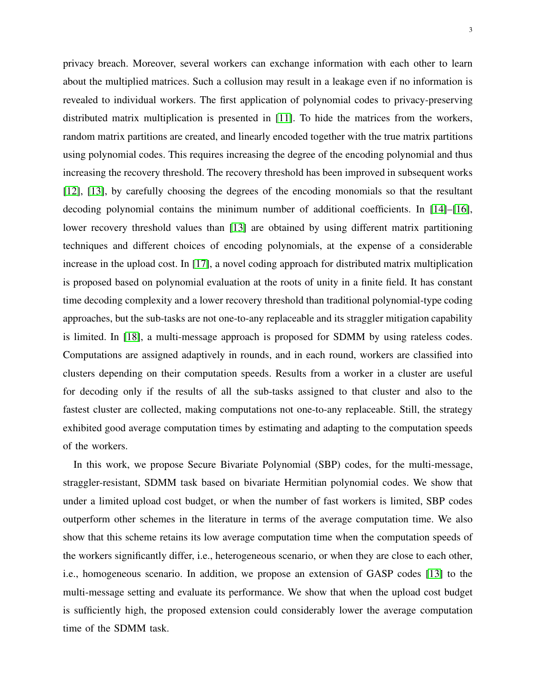3

privacy breach. Moreover, several workers can exchange information with each other to learn about the multiplied matrices. Such a collusion may result in a leakage even if no information is revealed to individual workers. The first application of polynomial codes to privacy-preserving distributed matrix multiplication is presented in [\[11\]](#page-30-3). To hide the matrices from the workers, random matrix partitions are created, and linearly encoded together with the true matrix partitions using polynomial codes. This requires increasing the degree of the encoding polynomial and thus increasing the recovery threshold. The recovery threshold has been improved in subsequent works [\[12\]](#page-30-4), [\[13\]](#page-30-5), by carefully choosing the degrees of the encoding monomials so that the resultant decoding polynomial contains the minimum number of additional coefficients. In [\[14\]](#page-30-6)–[\[16\]](#page-30-7), lower recovery threshold values than [\[13\]](#page-30-5) are obtained by using different matrix partitioning techniques and different choices of encoding polynomials, at the expense of a considerable increase in the upload cost. In [\[17\]](#page-30-8), a novel coding approach for distributed matrix multiplication is proposed based on polynomial evaluation at the roots of unity in a finite field. It has constant time decoding complexity and a lower recovery threshold than traditional polynomial-type coding approaches, but the sub-tasks are not one-to-any replaceable and its straggler mitigation capability is limited. In [\[18\]](#page-30-9), a multi-message approach is proposed for SDMM by using rateless codes. Computations are assigned adaptively in rounds, and in each round, workers are classified into clusters depending on their computation speeds. Results from a worker in a cluster are useful for decoding only if the results of all the sub-tasks assigned to that cluster and also to the fastest cluster are collected, making computations not one-to-any replaceable. Still, the strategy exhibited good average computation times by estimating and adapting to the computation speeds of the workers.

In this work, we propose Secure Bivariate Polynomial (SBP) codes, for the multi-message, straggler-resistant, SDMM task based on bivariate Hermitian polynomial codes. We show that under a limited upload cost budget, or when the number of fast workers is limited, SBP codes outperform other schemes in the literature in terms of the average computation time. We also show that this scheme retains its low average computation time when the computation speeds of the workers significantly differ, i.e., heterogeneous scenario, or when they are close to each other, i.e., homogeneous scenario. In addition, we propose an extension of GASP codes [\[13\]](#page-30-5) to the multi-message setting and evaluate its performance. We show that when the upload cost budget is sufficiently high, the proposed extension could considerably lower the average computation time of the SDMM task.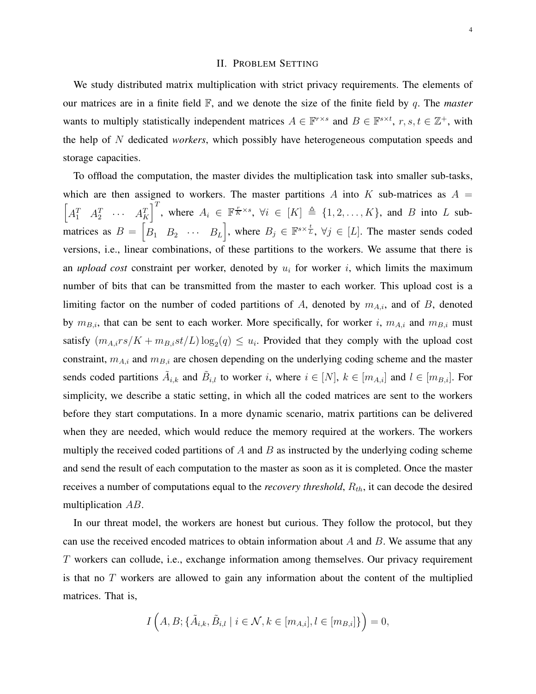# II. PROBLEM SETTING

<span id="page-3-0"></span>We study distributed matrix multiplication with strict privacy requirements. The elements of our matrices are in a finite field F, and we denote the size of the finite field by q. The *master* wants to multiply statistically independent matrices  $A \in \mathbb{F}^{r \times s}$  and  $B \in \mathbb{F}^{s \times t}$ ,  $r, s, t \in \mathbb{Z}^+$ , with the help of N dedicated *workers*, which possibly have heterogeneous computation speeds and storage capacities.

To offload the computation, the master divides the multiplication task into smaller sub-tasks, which are then assigned to workers. The master partitions A into K sub-matrices as  $A =$  $\begin{bmatrix} A_1^T & A_2^T & \cdots & A_K^T \end{bmatrix}^T$ , where  $A_i \in \mathbb{F}^{\frac{r}{K} \times s}$ ,  $\forall i \in [K] \triangleq \{1, 2, \ldots, K\}$ , and B into L submatrices as  $B = \begin{bmatrix} B_1 & B_2 & \cdots & B_L \end{bmatrix}$ , where  $B_j \in \mathbb{F}^{s \times \frac{t}{L}}$ ,  $\forall j \in [L]$ . The master sends coded versions, i.e., linear combinations, of these partitions to the workers. We assume that there is an *upload cost* constraint per worker, denoted by  $u_i$  for worker i, which limits the maximum number of bits that can be transmitted from the master to each worker. This upload cost is a limiting factor on the number of coded partitions of A, denoted by  $m_{A,i}$ , and of B, denoted by  $m_{B,i}$ , that can be sent to each worker. More specifically, for worker i,  $m_{A,i}$  and  $m_{B,i}$  must satisfy  $(m_{A,i}rs/K + m_{B,i}st/L)\log_2(q) \leq u_i$ . Provided that they comply with the upload cost constraint,  $m_{A,i}$  and  $m_{B,i}$  are chosen depending on the underlying coding scheme and the master sends coded partitions  $\tilde{A}_{i,k}$  and  $\tilde{B}_{i,l}$  to worker i, where  $i \in [N]$ ,  $k \in [m_{A,i}]$  and  $l \in [m_{B,i}]$ . For simplicity, we describe a static setting, in which all the coded matrices are sent to the workers before they start computations. In a more dynamic scenario, matrix partitions can be delivered when they are needed, which would reduce the memory required at the workers. The workers multiply the received coded partitions of A and B as instructed by the underlying coding scheme and send the result of each computation to the master as soon as it is completed. Once the master receives a number of computations equal to the *recovery threshold*,  $R_{th}$ , it can decode the desired multiplication AB.

In our threat model, the workers are honest but curious. They follow the protocol, but they can use the received encoded matrices to obtain information about  $A$  and  $B$ . We assume that any T workers can collude, i.e., exchange information among themselves. Our privacy requirement is that no  $T$  workers are allowed to gain any information about the content of the multiplied matrices. That is,

$$
I\left(A, B; \{\tilde{A}_{i,k}, \tilde{B}_{i,l} \mid i \in \mathcal{N}, k \in [m_{A,i}], l \in [m_{B,i}]\}\right) = 0,
$$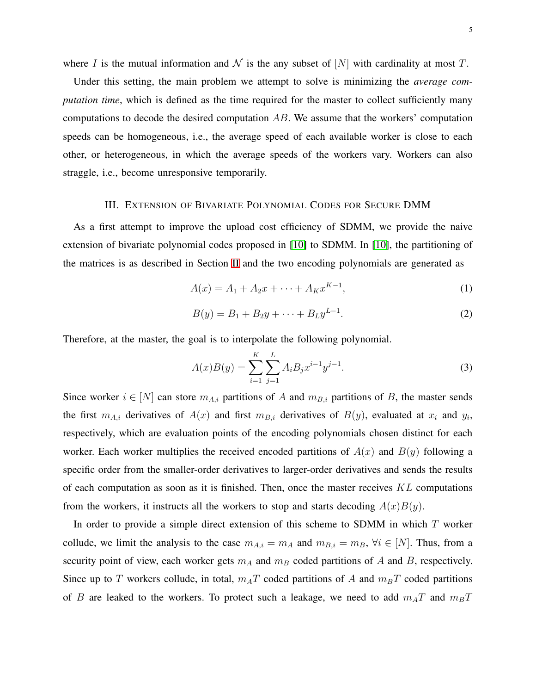where I is the mutual information and  $\mathcal N$  is the any subset of  $[N]$  with cardinality at most T.

Under this setting, the main problem we attempt to solve is minimizing the *average computation time*, which is defined as the time required for the master to collect sufficiently many computations to decode the desired computation AB. We assume that the workers' computation speeds can be homogeneous, i.e., the average speed of each available worker is close to each other, or heterogeneous, in which the average speeds of the workers vary. Workers can also straggle, i.e., become unresponsive temporarily.

#### III. EXTENSION OF BIVARIATE POLYNOMIAL CODES FOR SECURE DMM

As a first attempt to improve the upload cost efficiency of SDMM, we provide the naive extension of bivariate polynomial codes proposed in [\[10\]](#page-30-2) to SDMM. In [\[10\]](#page-30-2), the partitioning of the matrices is as described in Section [II](#page-3-0) and the two encoding polynomials are generated as

$$
A(x) = A_1 + A_2 x + \dots + A_K x^{K-1},
$$
\n(1)

$$
B(y) = B_1 + B_2 y + \dots + B_L y^{L-1}.
$$
 (2)

Therefore, at the master, the goal is to interpolate the following polynomial.

$$
A(x)B(y) = \sum_{i=1}^{K} \sum_{j=1}^{L} A_i B_j x^{i-1} y^{j-1}.
$$
 (3)

Since worker  $i \in [N]$  can store  $m_{A,i}$  partitions of A and  $m_{B,i}$  partitions of B, the master sends the first  $m_{A,i}$  derivatives of  $A(x)$  and first  $m_{B,i}$  derivatives of  $B(y)$ , evaluated at  $x_i$  and  $y_i$ , respectively, which are evaluation points of the encoding polynomials chosen distinct for each worker. Each worker multiplies the received encoded partitions of  $A(x)$  and  $B(y)$  following a specific order from the smaller-order derivatives to larger-order derivatives and sends the results of each computation as soon as it is finished. Then, once the master receives  $KL$  computations from the workers, it instructs all the workers to stop and starts decoding  $A(x)B(y)$ .

In order to provide a simple direct extension of this scheme to SDMM in which  $T$  worker collude, we limit the analysis to the case  $m_{A,i} = m_A$  and  $m_{B,i} = m_B$ ,  $\forall i \in [N]$ . Thus, from a security point of view, each worker gets  $m_A$  and  $m_B$  coded partitions of A and B, respectively. Since up to T workers collude, in total,  $m<sub>A</sub>T$  coded partitions of A and  $m<sub>B</sub>T$  coded partitions of B are leaked to the workers. To protect such a leakage, we need to add  $m_A T$  and  $m_B T$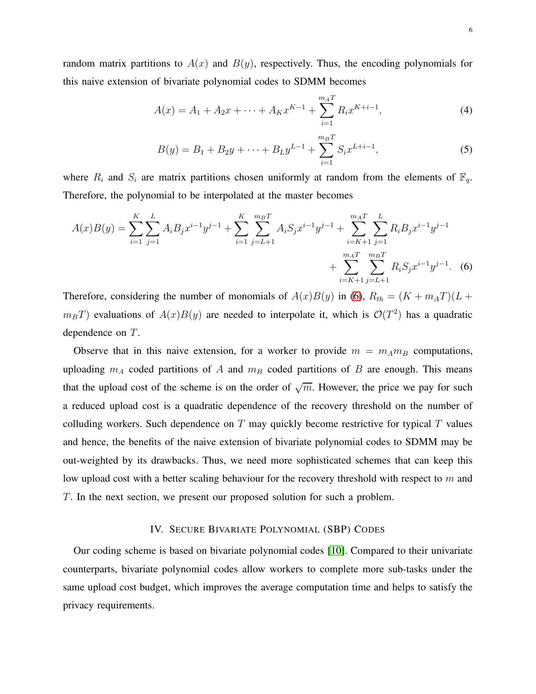random matrix partitions to  $A(x)$  and  $B(y)$ , respectively. Thus, the encoding polynomials for this naive extension of bivariate polynomial codes to SDMM becomes

$$
A(x) = A_1 + A_2 x + \dots + A_K x^{K-1} + \sum_{i=1}^{m_A T} R_i x^{K+i-1},
$$
\n(4)

<span id="page-5-0"></span>
$$
B(y) = B_1 + B_2y + \dots + B_Ly^{L-1} + \sum_{i=1}^{m_B T} S_i x^{L+i-1},
$$
\n(5)

where  $R_i$  and  $S_i$  are matrix partitions chosen uniformly at random from the elements of  $\mathbb{F}_q$ . Therefore, the polynomial to be interpolated at the master becomes

$$
A(x)B(y) = \sum_{i=1}^{K} \sum_{j=1}^{L} A_i B_j x^{i-1} y^{j-1} + \sum_{i=1}^{K} \sum_{j=L+1}^{m_B T} A_i S_j x^{i-1} y^{j-1} + \sum_{i=K+1}^{m_A T} \sum_{j=1}^{L} R_i B_j x^{i-1} y^{j-1} + \sum_{i=K+1}^{m_A T} \sum_{j=L+1}^{m_B T} R_i S_j x^{i-1} y^{j-1}.
$$
 (6)

Therefore, considering the number of monomials of  $A(x)B(y)$  in [\(6\)](#page-5-0),  $R_{th} = (K + m_A T)(L +$  $m_B T$ ) evaluations of  $A(x)B(y)$  are needed to interpolate it, which is  $\mathcal{O}(T^2)$  has a quadratic dependence on T.

Observe that in this naive extension, for a worker to provide  $m = m_A m_B$  computations, uploading  $m_A$  coded partitions of A and  $m_B$  coded partitions of B are enough. This means that the upload cost of the scheme is on the order of  $\sqrt{m}$ . However, the price we pay for such a reduced upload cost is a quadratic dependence of the recovery threshold on the number of colluding workers. Such dependence on  $T$  may quickly become restrictive for typical  $T$  values and hence, the benefits of the naive extension of bivariate polynomial codes to SDMM may be out-weighted by its drawbacks. Thus, we need more sophisticated schemes that can keep this low upload cost with a better scaling behaviour for the recovery threshold with respect to  $m$  and T. In the next section, we present our proposed solution for such a problem.

#### IV. SECURE BIVARIATE POLYNOMIAL (SBP) CODES

Our coding scheme is based on bivariate polynomial codes [\[10\]](#page-30-2). Compared to their univariate counterparts, bivariate polynomial codes allow workers to complete more sub-tasks under the same upload cost budget, which improves the average computation time and helps to satisfy the privacy requirements.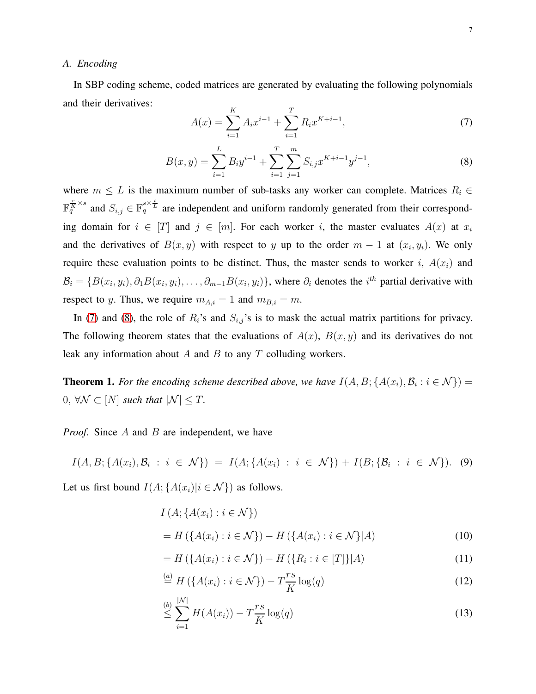### *A. Encoding*

In SBP coding scheme, coded matrices are generated by evaluating the following polynomials and their derivatives:  $\mathbf{r}$ 

<span id="page-6-0"></span>
$$
A(x) = \sum_{i=1}^{K} A_i x^{i-1} + \sum_{i=1}^{T} R_i x^{K+i-1},
$$
\n(7)

<span id="page-6-1"></span>
$$
B(x,y) = \sum_{i=1}^{L} B_i y^{i-1} + \sum_{i=1}^{T} \sum_{j=1}^{m} S_{i,j} x^{K+i-1} y^{j-1},
$$
\n(8)

where  $m \leq L$  is the maximum number of sub-tasks any worker can complete. Matrices  $R_i \in$  $\mathbb{F}_q^{\frac{r}{K}\times s}$  and  $S_{i,j} \in \mathbb{F}_q^{s\times \frac{t}{L}}$  are independent and uniform randomly generated from their corresponding domain for  $i \in [T]$  and  $j \in [m]$ . For each worker i, the master evaluates  $A(x)$  at  $x_i$ and the derivatives of  $B(x, y)$  with respect to y up to the order  $m - 1$  at  $(x_i, y_i)$ . We only require these evaluation points to be distinct. Thus, the master sends to worker i,  $A(x_i)$  and  $B_i = \{B(x_i, y_i), \partial_1 B(x_i, y_i), \dots, \partial_{m-1} B(x_i, y_i)\}\$ , where  $\partial_i$  denotes the  $i^{th}$  partial derivative with respect to y. Thus, we require  $m_{A,i} = 1$  and  $m_{B,i} = m$ .

In [\(7\)](#page-6-0) and [\(8\)](#page-6-1), the role of  $R_i$ 's and  $S_{i,j}$ 's is to mask the actual matrix partitions for privacy. The following theorem states that the evaluations of  $A(x)$ ,  $B(x, y)$  and its derivatives do not leak any information about  $A$  and  $B$  to any  $T$  colluding workers.

**Theorem 1.** For the encoding scheme described above, we have  $I(A, B; \{A(x_i), B_i : i \in \mathcal{N}\}) =$  $0, \forall \mathcal{N} \subset [N]$  *such that*  $|\mathcal{N}| \leq T$ .

*Proof.* Since A and B are independent, we have

$$
I(A, B; \{A(x_i), B_i : i \in \mathcal{N}\}) = I(A; \{A(x_i) : i \in \mathcal{N}\}) + I(B; \{B_i : i \in \mathcal{N}\}). \tag{9}
$$

Let us first bound  $I(A; \{A(x_i)|i \in \mathcal{N}\})$  as follows.

<span id="page-6-2"></span>
$$
I(A; \{A(x_i) : i \in \mathcal{N}\})
$$
  
=  $H(\{A(x_i) : i \in \mathcal{N}\}) - H(\{A(x_i) : i \in \mathcal{N}\}|A)$  (10)

$$
= H(\lbrace A(x_i) : i \in \mathcal{N} \rbrace) - H(\lbrace R_i : i \in [T] \rbrace | A)
$$
\n(11)

$$
\stackrel{(a)}{=} H\left(\{A(x_i) : i \in \mathcal{N}\}\right) - T\frac{rs}{K}\log(q) \tag{12}
$$

$$
\stackrel{(b)}{\leq} \sum_{i=1}^{|N|} H(A(x_i)) - T \frac{r s}{K} \log(q) \tag{13}
$$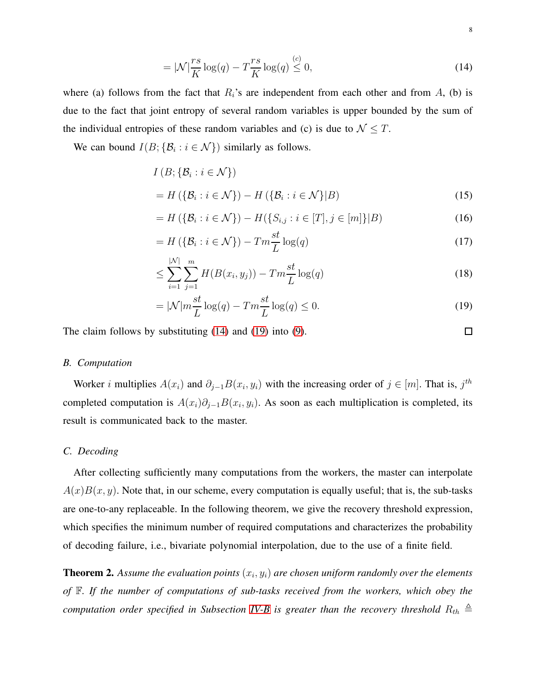$$
= |\mathcal{N}| \frac{rs}{K} \log(q) - T \frac{rs}{K} \log(q) \stackrel{(c)}{\leq} 0,\tag{14}
$$

where (a) follows from the fact that  $R_i$ 's are independent from each other and from A, (b) is due to the fact that joint entropy of several random variables is upper bounded by the sum of the individual entropies of these random variables and (c) is due to  $\mathcal{N} \leq T$ .

We can bound  $I(B; \{B_i : i \in \mathcal{N}\})$  similarly as follows.

$$
I(B; \{B_i : i \in \mathcal{N}\})
$$
  
=  $H(\{\mathcal{B}_i : i \in \mathcal{N}\}) - H(\{\mathcal{B}_i : i \in \mathcal{N}\}|B)$  (15)

$$
= H(\{\mathcal{B}_i : i \in \mathcal{N}\}) - H(\{S_{i,j} : i \in [T], j \in [m]\}|B)
$$
\n(16)

$$
=H\left(\left\{\mathcal{B}_{i}:i\in\mathcal{N}\right\}\right)-Tm\frac{st}{L}\log(q)\tag{17}
$$

$$
\leq \sum_{i=1}^{|N|} \sum_{j=1}^{m} H(B(x_i, y_j)) - Tm \frac{st}{L} \log(q)
$$
\n(18)

$$
= |\mathcal{N}| m \frac{st}{L} \log(q) - T m \frac{st}{L} \log(q) \le 0.
$$
\n(19)

<span id="page-7-2"></span>The claim follows by substituting [\(14\)](#page-7-0) and [\(19\)](#page-7-1) into [\(9\)](#page-6-2).

<span id="page-7-1"></span><span id="page-7-0"></span> $\Box$ 

# *B. Computation*

Worker *i* multiplies  $A(x_i)$  and  $\partial_{j-1}B(x_i, y_i)$  with the increasing order of  $j \in [m]$ . That is,  $j<sup>th</sup>$ completed computation is  $A(x_i)\partial_{j-1}B(x_i,y_i)$ . As soon as each multiplication is completed, its result is communicated back to the master.

# *C. Decoding*

After collecting sufficiently many computations from the workers, the master can interpolate  $A(x)B(x, y)$ . Note that, in our scheme, every computation is equally useful; that is, the sub-tasks are one-to-any replaceable. In the following theorem, we give the recovery threshold expression, which specifies the minimum number of required computations and characterizes the probability of decoding failure, i.e., bivariate polynomial interpolation, due to the use of a finite field.

<span id="page-7-3"></span>**Theorem 2.** Assume the evaluation points  $(x_i, y_i)$  are chosen uniform randomly over the elements *of* F*. If the number of computations of sub-tasks received from the workers, which obey the computation order specified in Subsection [IV-B](#page-7-2) is greater than the recovery threshold*  $R_{th} \triangleq$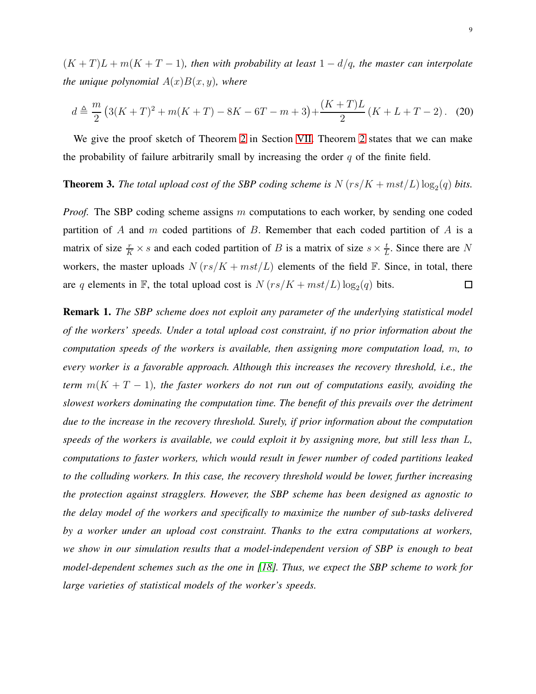$(K+T)L + m(K+T-1)$ , then with probability at least  $1-d/q$ , the master can interpolate *the unique polynomial*  $A(x)B(x, y)$ *, where* 

$$
d \triangleq \frac{m}{2} \left( 3(K+T)^2 + m(K+T) - 8K - 6T - m + 3 \right) + \frac{(K+T)L}{2} \left( K + L + T - 2 \right). \tag{20}
$$

We give the proof sketch of Theorem [2](#page-7-3) in Section [VII.](#page-19-0) Theorem [2](#page-7-3) states that we can make the probability of failure arbitrarily small by increasing the order  $q$  of the finite field.

# <span id="page-8-0"></span>**Theorem 3.** The total upload cost of the SBP coding scheme is  $N (rs/K + mst/L) \log_2(q)$  bits.

*Proof.* The SBP coding scheme assigns m computations to each worker, by sending one coded partition of A and m coded partitions of B. Remember that each coded partition of A is a matrix of size  $\frac{r}{K} \times s$  and each coded partition of B is a matrix of size  $s \times \frac{t}{L}$  $\frac{t}{L}$ . Since there are N workers, the master uploads  $N (rs/K + mst/L)$  elements of the field F. Since, in total, there are q elements in  $\mathbb{F}$ , the total upload cost is  $N (rs/K + mst/L) \log_2(q)$  bits.  $\Box$ 

<span id="page-8-1"></span>Remark 1. *The SBP scheme does not exploit any parameter of the underlying statistical model of the workers' speeds. Under a total upload cost constraint, if no prior information about the computation speeds of the workers is available, then assigning more computation load,* m*, to every worker is a favorable approach. Although this increases the recovery threshold, i.e., the term*  $m(K + T - 1)$ *, the faster workers do not run out of computations easily, avoiding the slowest workers dominating the computation time. The benefit of this prevails over the detriment due to the increase in the recovery threshold. Surely, if prior information about the computation speeds of the workers is available, we could exploit it by assigning more, but still less than* L*, computations to faster workers, which would result in fewer number of coded partitions leaked to the colluding workers. In this case, the recovery threshold would be lower, further increasing the protection against stragglers. However, the SBP scheme has been designed as agnostic to the delay model of the workers and specifically to maximize the number of sub-tasks delivered by a worker under an upload cost constraint. Thanks to the extra computations at workers, we show in our simulation results that a model-independent version of SBP is enough to beat model-dependent schemes such as the one in [\[18\]](#page-30-9). Thus, we expect the SBP scheme to work for large varieties of statistical models of the worker's speeds.*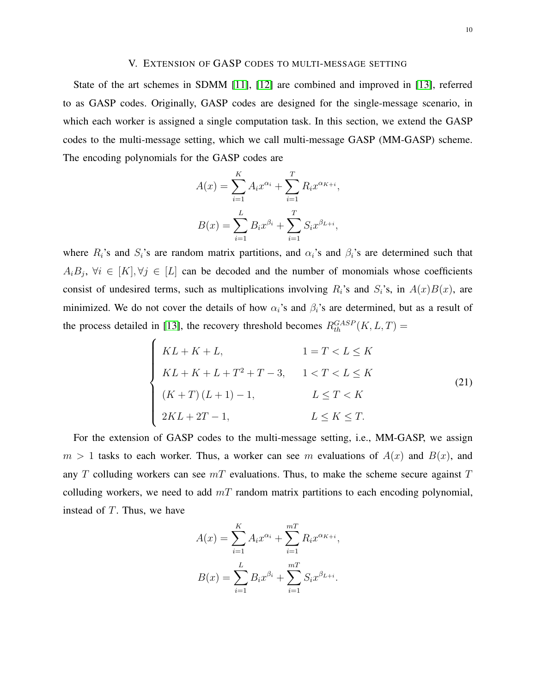# V. EXTENSION OF GASP CODES TO MULTI-MESSAGE SETTING

State of the art schemes in SDMM [\[11\]](#page-30-3), [\[12\]](#page-30-4) are combined and improved in [\[13\]](#page-30-5), referred to as GASP codes. Originally, GASP codes are designed for the single-message scenario, in which each worker is assigned a single computation task. In this section, we extend the GASP codes to the multi-message setting, which we call multi-message GASP (MM-GASP) scheme. The encoding polynomials for the GASP codes are

$$
A(x) = \sum_{i=1}^{K} A_i x^{\alpha_i} + \sum_{i=1}^{T} R_i x^{\alpha_{K+i}},
$$

$$
B(x) = \sum_{i=1}^{L} B_i x^{\beta_i} + \sum_{i=1}^{T} S_i x^{\beta_{L+i}},
$$

where  $R_i$ 's and  $S_i$ 's are random matrix partitions, and  $\alpha_i$ 's and  $\beta_i$ 's are determined such that  $A_iB_j$ ,  $\forall i \in [K], \forall j \in [L]$  can be decoded and the number of monomials whose coefficients consist of undesired terms, such as multiplications involving  $R_i$ 's and  $S_i$ 's, in  $A(x)B(x)$ , are minimized. We do not cover the details of how  $\alpha_i$ 's and  $\beta_i$ 's are determined, but as a result of the process detailed in [\[13\]](#page-30-5), the recovery threshold becomes  $R_{th}^{GASP}(K, L, T) =$ 

<span id="page-9-0"></span>
$$
\begin{cases}\nKL + K + L, & 1 = T < L \le K \\
KL + K + L + T^2 + T - 3, & 1 < T < L \le K \\
(K + T)(L + 1) - 1, & L \le T < K \\
2KL + 2T - 1, & L \le K \le T.\n\end{cases} \tag{21}
$$

For the extension of GASP codes to the multi-message setting, i.e., MM-GASP, we assign  $m > 1$  tasks to each worker. Thus, a worker can see m evaluations of  $A(x)$  and  $B(x)$ , and any  $T$  colluding workers can see  $mT$  evaluations. Thus, to make the scheme secure against  $T$ colluding workers, we need to add  $mT$  random matrix partitions to each encoding polynomial, instead of  $T$ . Thus, we have

$$
A(x) = \sum_{i=1}^{K} A_i x^{\alpha_i} + \sum_{i=1}^{mT} R_i x^{\alpha_{K+i}},
$$

$$
B(x) = \sum_{i=1}^{L} B_i x^{\beta_i} + \sum_{i=1}^{mT} S_i x^{\beta_{L+i}}.
$$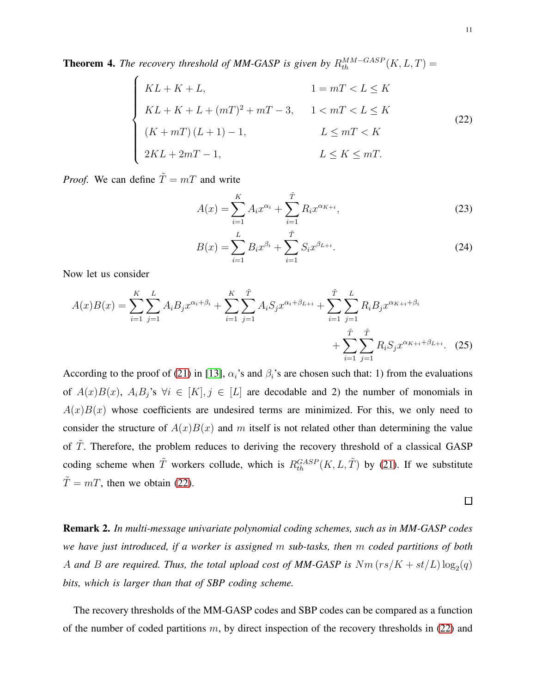**Theorem 4.** The recovery threshold of MM-GASP is given by  $R_{th}^{MM-GASP}(K, L, T) =$ 

<span id="page-10-0"></span>
$$
\begin{cases}\nKL + K + L, & 1 = mT < L \le K \\
KL + K + L + (mT)^2 + mT - 3, & 1 < mT < L \le K \\
(K + mT)(L + 1) - 1, & L \le mT < K \\
2KL + 2mT - 1, & L \le K \le mT.\n\end{cases} \tag{22}
$$

*Proof.* We can define  $\tilde{T} = mT$  and write

$$
A(x) = \sum_{i=1}^{K} A_i x^{\alpha_i} + \sum_{i=1}^{\tilde{T}} R_i x^{\alpha_{K+i}},
$$
\n(23)

$$
B(x) = \sum_{i=1}^{L} B_i x^{\beta_i} + \sum_{i=1}^{\tilde{T}} S_i x^{\beta_{L+i}}.
$$
 (24)

Now let us consider

$$
A(x)B(x) = \sum_{i=1}^{K} \sum_{j=1}^{L} A_i B_j x^{\alpha_i + \beta_i} + \sum_{i=1}^{K} \sum_{j=1}^{\tilde{T}} A_i S_j x^{\alpha_i + \beta_{L+i}} + \sum_{i=1}^{\tilde{T}} \sum_{j=1}^{L} R_i B_j x^{\alpha_{K+i} + \beta_i} + \sum_{i=1}^{\tilde{T}} \sum_{j=1}^{\tilde{T}} R_i S_j x^{\alpha_{K+i} + \beta_{L+i}}.
$$
 (25)

According to the proof of [\(21\)](#page-9-0) in [\[13\]](#page-30-5),  $\alpha_i$ 's and  $\beta_i$ 's are chosen such that: 1) from the evaluations of  $A(x)B(x)$ ,  $A_iB_j$ 's  $\forall i \in [K], j \in [L]$  are decodable and 2) the number of monomials in  $A(x)B(x)$  whose coefficients are undesired terms are minimized. For this, we only need to consider the structure of  $A(x)B(x)$  and m itself is not related other than determining the value of  $\overline{T}$ . Therefore, the problem reduces to deriving the recovery threshold of a classical GASP coding scheme when  $\tilde{T}$  workers collude, which is  $R_{th}^{GASP}(K, L, \tilde{T})$  by [\(21\)](#page-9-0). If we substitute  $\tilde{T} = mT$ , then we obtain [\(22\)](#page-10-0).

<span id="page-10-1"></span>Remark 2. *In multi-message univariate polynomial coding schemes, such as in MM-GASP codes we have just introduced, if a worker is assigned* m *sub-tasks, then* m *coded partitions of both* A and B are required. Thus, the total upload cost of MM-GASP is  $Nm\left(rs/K+st/L\right)\log_2(q)$ *bits, which is larger than that of SBP coding scheme.*

The recovery thresholds of the MM-GASP codes and SBP codes can be compared as a function of the number of coded partitions  $m$ , by direct inspection of the recovery thresholds in [\(22\)](#page-10-0) and

 $\Box$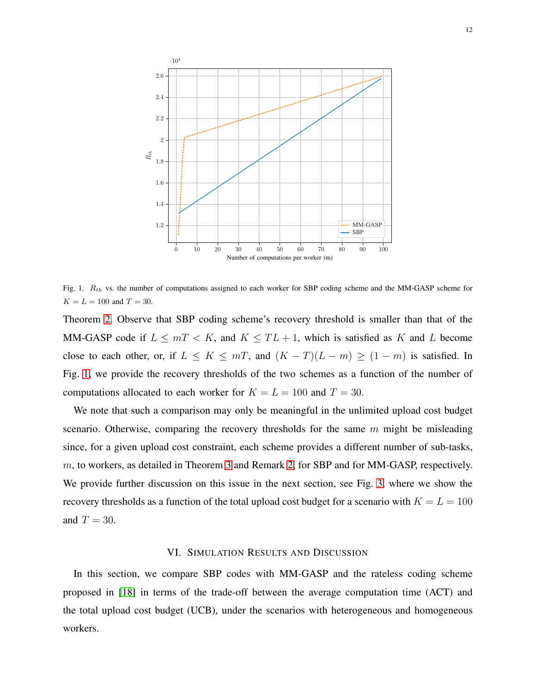

<span id="page-11-0"></span>Fig. 1.  $R_{th}$  vs. the number of computations assigned to each worker for SBP coding scheme and the MM-GASP scheme for  $K = L = 100$  and  $T = 30$ .

Theorem [2.](#page-7-3) Observe that SBP coding scheme's recovery threshold is smaller than that of the MM-GASP code if  $L \leq mT < K$ , and  $K \leq TL + 1$ , which is satisfied as K and L become close to each other, or, if  $L \le K \le mT$ , and  $(K - T)(L - m) \ge (1 - m)$  is satisfied. In Fig. [1,](#page-11-0) we provide the recovery thresholds of the two schemes as a function of the number of computations allocated to each worker for  $K = L = 100$  and  $T = 30$ .

We note that such a comparison may only be meaningful in the unlimited upload cost budget scenario. Otherwise, comparing the recovery thresholds for the same  $m$  might be misleading since, for a given upload cost constraint, each scheme provides a different number of sub-tasks, m, to workers, as detailed in Theorem [3](#page-8-0) and Remark [2,](#page-10-1) for SBP and for MM-GASP, respectively. We provide further discussion on this issue in the next section, see Fig. [3,](#page-15-0) where we show the recovery thresholds as a function of the total upload cost budget for a scenario with  $K = L = 100$ and  $T = 30$ .

#### VI. SIMULATION RESULTS AND DISCUSSION

In this section, we compare SBP codes with MM-GASP and the rateless coding scheme proposed in [\[18\]](#page-30-9) in terms of the trade-off between the average computation time (ACT) and the total upload cost budget (UCB), under the scenarios with heterogeneous and homogeneous workers.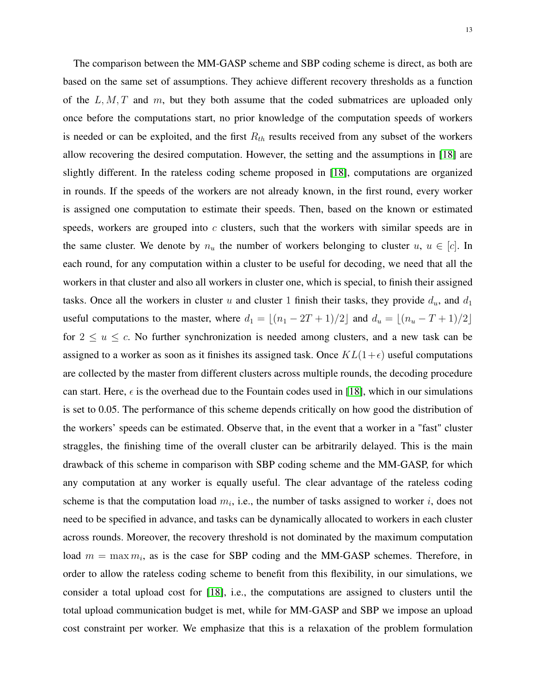The comparison between the MM-GASP scheme and SBP coding scheme is direct, as both are based on the same set of assumptions. They achieve different recovery thresholds as a function of the  $L, M, T$  and m, but they both assume that the coded submatrices are uploaded only once before the computations start, no prior knowledge of the computation speeds of workers is needed or can be exploited, and the first  $R_{th}$  results received from any subset of the workers allow recovering the desired computation. However, the setting and the assumptions in [\[18\]](#page-30-9) are slightly different. In the rateless coding scheme proposed in [\[18\]](#page-30-9), computations are organized in rounds. If the speeds of the workers are not already known, in the first round, every worker is assigned one computation to estimate their speeds. Then, based on the known or estimated speeds, workers are grouped into  $c$  clusters, such that the workers with similar speeds are in the same cluster. We denote by  $n_u$  the number of workers belonging to cluster  $u, u \in [c]$ . In each round, for any computation within a cluster to be useful for decoding, we need that all the workers in that cluster and also all workers in cluster one, which is special, to finish their assigned tasks. Once all the workers in cluster u and cluster 1 finish their tasks, they provide  $d_u$ , and  $d_1$ useful computations to the master, where  $d_1 = \lfloor (n_1 - 2T + 1)/2 \rfloor$  and  $d_u = \lfloor (n_u - T + 1)/2 \rfloor$ for  $2 \le u \le c$ . No further synchronization is needed among clusters, and a new task can be assigned to a worker as soon as it finishes its assigned task. Once  $KL(1+\epsilon)$  useful computations are collected by the master from different clusters across multiple rounds, the decoding procedure can start. Here,  $\epsilon$  is the overhead due to the Fountain codes used in [\[18\]](#page-30-9), which in our simulations is set to 0.05. The performance of this scheme depends critically on how good the distribution of the workers' speeds can be estimated. Observe that, in the event that a worker in a "fast" cluster straggles, the finishing time of the overall cluster can be arbitrarily delayed. This is the main drawback of this scheme in comparison with SBP coding scheme and the MM-GASP, for which any computation at any worker is equally useful. The clear advantage of the rateless coding scheme is that the computation load  $m_i$ , i.e., the number of tasks assigned to worker i, does not need to be specified in advance, and tasks can be dynamically allocated to workers in each cluster across rounds. Moreover, the recovery threshold is not dominated by the maximum computation load  $m = \max m_i$ , as is the case for SBP coding and the MM-GASP schemes. Therefore, in order to allow the rateless coding scheme to benefit from this flexibility, in our simulations, we consider a total upload cost for [\[18\]](#page-30-9), i.e., the computations are assigned to clusters until the total upload communication budget is met, while for MM-GASP and SBP we impose an upload cost constraint per worker. We emphasize that this is a relaxation of the problem formulation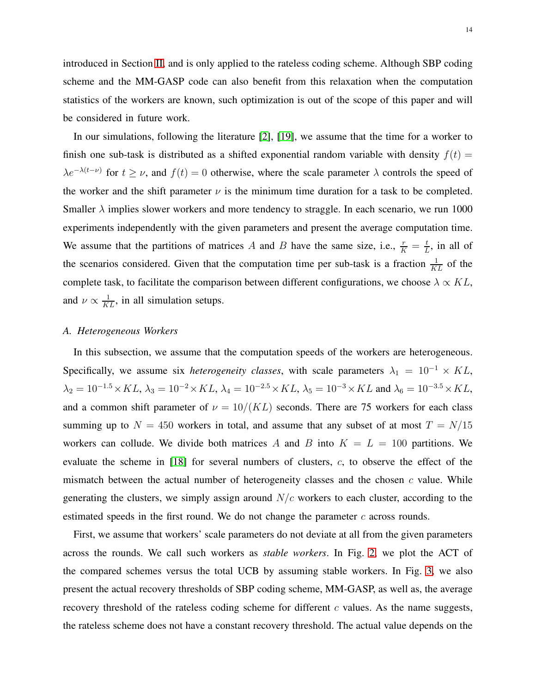introduced in Section [II,](#page-3-0) and is only applied to the rateless coding scheme. Although SBP coding scheme and the MM-GASP code can also benefit from this relaxation when the computation statistics of the workers are known, such optimization is out of the scope of this paper and will be considered in future work.

In our simulations, following the literature [\[2\]](#page-29-1), [\[19\]](#page-30-10), we assume that the time for a worker to finish one sub-task is distributed as a shifted exponential random variable with density  $f(t)$  =  $\lambda e^{-\lambda(t-\nu)}$  for  $t \geq \nu$ , and  $f(t) = 0$  otherwise, where the scale parameter  $\lambda$  controls the speed of the worker and the shift parameter  $\nu$  is the minimum time duration for a task to be completed. Smaller  $\lambda$  implies slower workers and more tendency to straggle. In each scenario, we run 1000 experiments independently with the given parameters and present the average computation time. We assume that the partitions of matrices A and B have the same size, i.e.,  $\frac{r}{K} = \frac{t}{L}$  $\frac{t}{L}$ , in all of the scenarios considered. Given that the computation time per sub-task is a fraction  $\frac{1}{KL}$  of the complete task, to facilitate the comparison between different configurations, we choose  $\lambda \propto KL$ , and  $\nu \propto \frac{1}{KL}$ , in all simulation setups.

# <span id="page-13-0"></span>*A. Heterogeneous Workers*

In this subsection, we assume that the computation speeds of the workers are heterogeneous. Specifically, we assume six *heterogeneity classes*, with scale parameters  $\lambda_1 = 10^{-1} \times KL$ ,  $\lambda_2=10^{-1.5}\!\times KL,$   $\lambda_3=10^{-2}\!\times KL,$   $\lambda_4=10^{-2.5}\!\times KL,$   $\lambda_5=10^{-3}\!\times KL$  and  $\lambda_6=10^{-3.5}\!\times KL,$ and a common shift parameter of  $\nu = 10/(KL)$  seconds. There are 75 workers for each class summing up to  $N = 450$  workers in total, and assume that any subset of at most  $T = N/15$ workers can collude. We divide both matrices A and B into  $K = L = 100$  partitions. We evaluate the scheme in [\[18\]](#page-30-9) for several numbers of clusters, c, to observe the effect of the mismatch between the actual number of heterogeneity classes and the chosen  $c$  value. While generating the clusters, we simply assign around  $N/c$  workers to each cluster, according to the estimated speeds in the first round. We do not change the parameter  $c$  across rounds.

First, we assume that workers' scale parameters do not deviate at all from the given parameters across the rounds. We call such workers as *stable workers*. In Fig. [2,](#page-14-0) we plot the ACT of the compared schemes versus the total UCB by assuming stable workers. In Fig. [3,](#page-15-0) we also present the actual recovery thresholds of SBP coding scheme, MM-GASP, as well as, the average recovery threshold of the rateless coding scheme for different  $c$  values. As the name suggests, the rateless scheme does not have a constant recovery threshold. The actual value depends on the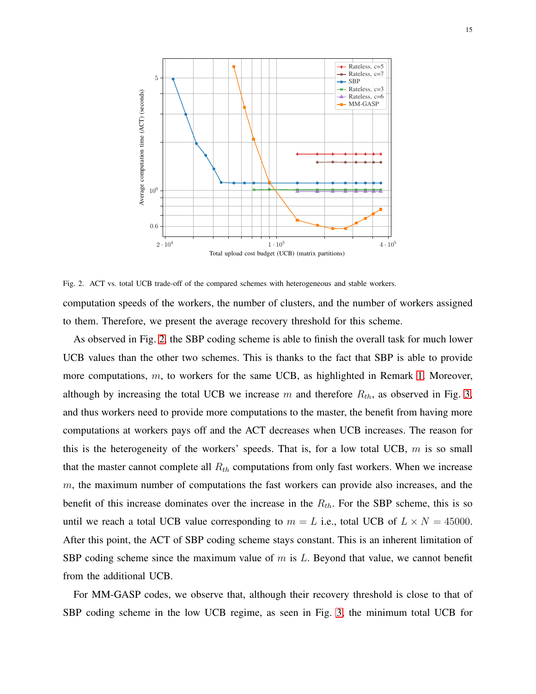

<span id="page-14-0"></span>Fig. 2. ACT vs. total UCB trade-off of the compared schemes with heterogeneous and stable workers. computation speeds of the workers, the number of clusters, and the number of workers assigned to them. Therefore, we present the average recovery threshold for this scheme.

As observed in Fig. [2,](#page-14-0) the SBP coding scheme is able to finish the overall task for much lower UCB values than the other two schemes. This is thanks to the fact that SBP is able to provide more computations, m, to workers for the same UCB, as highlighted in Remark [1.](#page-8-1) Moreover, although by increasing the total UCB we increase m and therefore  $R_{th}$ , as observed in Fig. [3,](#page-15-0) and thus workers need to provide more computations to the master, the benefit from having more computations at workers pays off and the ACT decreases when UCB increases. The reason for this is the heterogeneity of the workers' speeds. That is, for a low total UCB,  $m$  is so small that the master cannot complete all  $R_{th}$  computations from only fast workers. When we increase m, the maximum number of computations the fast workers can provide also increases, and the benefit of this increase dominates over the increase in the  $R_{th}$ . For the SBP scheme, this is so until we reach a total UCB value corresponding to  $m = L$  i.e., total UCB of  $L \times N = 45000$ . After this point, the ACT of SBP coding scheme stays constant. This is an inherent limitation of SBP coding scheme since the maximum value of  $m$  is  $L$ . Beyond that value, we cannot benefit from the additional UCB.

For MM-GASP codes, we observe that, although their recovery threshold is close to that of SBP coding scheme in the low UCB regime, as seen in Fig. [3,](#page-15-0) the minimum total UCB for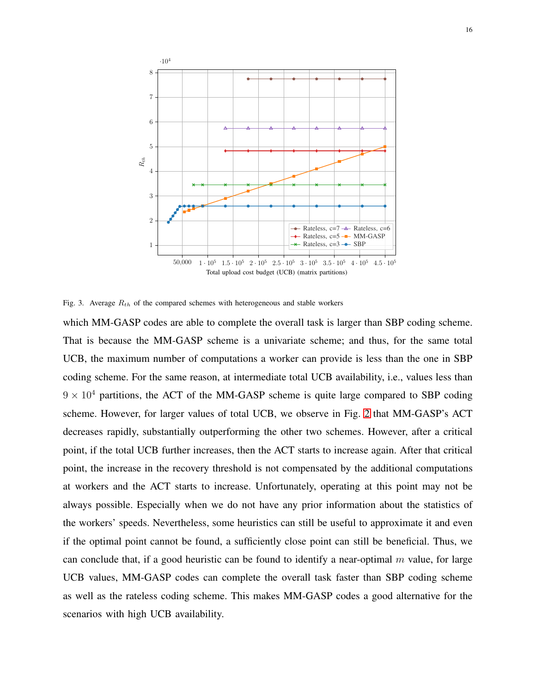

<span id="page-15-0"></span>Fig. 3. Average  $R_{th}$  of the compared schemes with heterogeneous and stable workers

which MM-GASP codes are able to complete the overall task is larger than SBP coding scheme. That is because the MM-GASP scheme is a univariate scheme; and thus, for the same total UCB, the maximum number of computations a worker can provide is less than the one in SBP coding scheme. For the same reason, at intermediate total UCB availability, i.e., values less than  $9 \times 10^4$  partitions, the ACT of the MM-GASP scheme is quite large compared to SBP coding scheme. However, for larger values of total UCB, we observe in Fig. [2](#page-14-0) that MM-GASP's ACT decreases rapidly, substantially outperforming the other two schemes. However, after a critical point, if the total UCB further increases, then the ACT starts to increase again. After that critical point, the increase in the recovery threshold is not compensated by the additional computations at workers and the ACT starts to increase. Unfortunately, operating at this point may not be always possible. Especially when we do not have any prior information about the statistics of the workers' speeds. Nevertheless, some heuristics can still be useful to approximate it and even if the optimal point cannot be found, a sufficiently close point can still be beneficial. Thus, we can conclude that, if a good heuristic can be found to identify a near-optimal  $m$  value, for large UCB values, MM-GASP codes can complete the overall task faster than SBP coding scheme as well as the rateless coding scheme. This makes MM-GASP codes a good alternative for the scenarios with high UCB availability.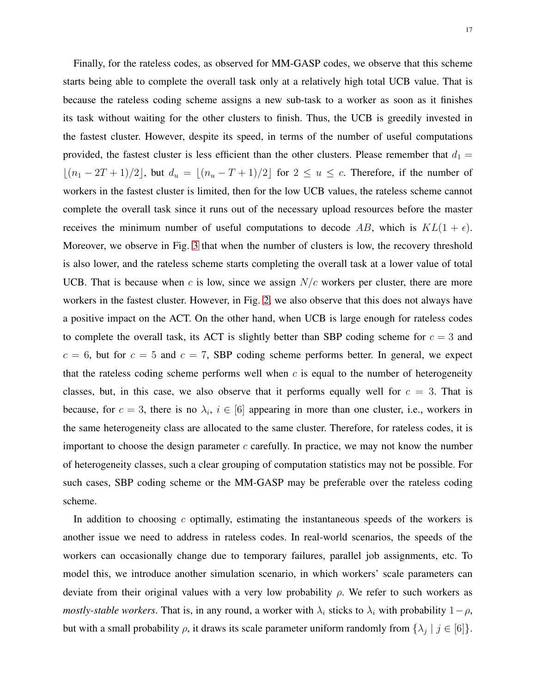Finally, for the rateless codes, as observed for MM-GASP codes, we observe that this scheme starts being able to complete the overall task only at a relatively high total UCB value. That is because the rateless coding scheme assigns a new sub-task to a worker as soon as it finishes its task without waiting for the other clusters to finish. Thus, the UCB is greedily invested in the fastest cluster. However, despite its speed, in terms of the number of useful computations provided, the fastest cluster is less efficient than the other clusters. Please remember that  $d_1 =$  $\lfloor (n_1 - 2T + 1)/2 \rfloor$ , but  $d_u = \lfloor (n_u - T + 1)/2 \rfloor$  for  $2 \le u \le c$ . Therefore, if the number of workers in the fastest cluster is limited, then for the low UCB values, the rateless scheme cannot complete the overall task since it runs out of the necessary upload resources before the master receives the minimum number of useful computations to decode AB, which is  $KL(1 + \epsilon)$ . Moreover, we observe in Fig. [3](#page-15-0) that when the number of clusters is low, the recovery threshold is also lower, and the rateless scheme starts completing the overall task at a lower value of total UCB. That is because when c is low, since we assign  $N/c$  workers per cluster, there are more workers in the fastest cluster. However, in Fig. [2,](#page-14-0) we also observe that this does not always have a positive impact on the ACT. On the other hand, when UCB is large enough for rateless codes to complete the overall task, its ACT is slightly better than SBP coding scheme for  $c = 3$  and  $c = 6$ , but for  $c = 5$  and  $c = 7$ , SBP coding scheme performs better. In general, we expect that the rateless coding scheme performs well when  $c$  is equal to the number of heterogeneity classes, but, in this case, we also observe that it performs equally well for  $c = 3$ . That is because, for  $c = 3$ , there is no  $\lambda_i$ ,  $i \in [6]$  appearing in more than one cluster, i.e., workers in the same heterogeneity class are allocated to the same cluster. Therefore, for rateless codes, it is important to choose the design parameter  $c$  carefully. In practice, we may not know the number of heterogeneity classes, such a clear grouping of computation statistics may not be possible. For such cases, SBP coding scheme or the MM-GASP may be preferable over the rateless coding scheme.

In addition to choosing  $c$  optimally, estimating the instantaneous speeds of the workers is another issue we need to address in rateless codes. In real-world scenarios, the speeds of the workers can occasionally change due to temporary failures, parallel job assignments, etc. To model this, we introduce another simulation scenario, in which workers' scale parameters can deviate from their original values with a very low probability  $\rho$ . We refer to such workers as *mostly-stable workers*. That is, in any round, a worker with  $\lambda_i$  sticks to  $\lambda_i$  with probability  $1-\rho$ , but with a small probability  $\rho$ , it draws its scale parameter uniform randomly from  $\{\lambda_j \mid j \in [6]\}$ .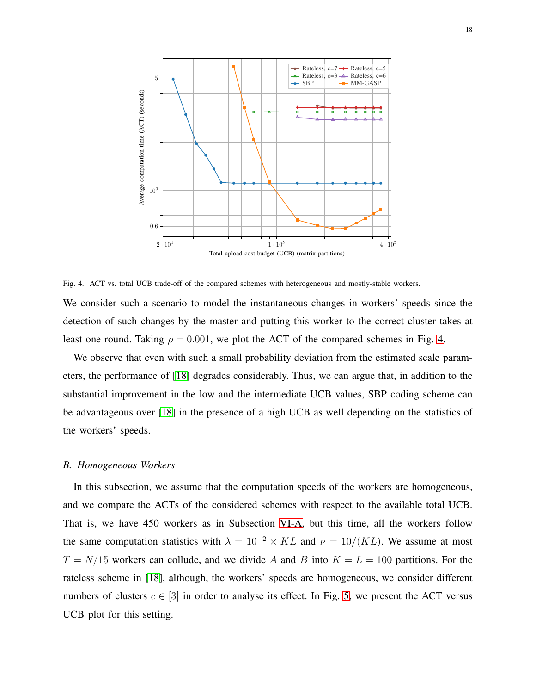

<span id="page-17-0"></span>Fig. 4. ACT vs. total UCB trade-off of the compared schemes with heterogeneous and mostly-stable workers. We consider such a scenario to model the instantaneous changes in workers' speeds since the detection of such changes by the master and putting this worker to the correct cluster takes at least one round. Taking  $\rho = 0.001$ , we plot the ACT of the compared schemes in Fig. [4.](#page-17-0)

We observe that even with such a small probability deviation from the estimated scale parameters, the performance of [\[18\]](#page-30-9) degrades considerably. Thus, we can argue that, in addition to the substantial improvement in the low and the intermediate UCB values, SBP coding scheme can be advantageous over [\[18\]](#page-30-9) in the presence of a high UCB as well depending on the statistics of the workers' speeds.

#### *B. Homogeneous Workers*

In this subsection, we assume that the computation speeds of the workers are homogeneous, and we compare the ACTs of the considered schemes with respect to the available total UCB. That is, we have 450 workers as in Subsection [VI-A,](#page-13-0) but this time, all the workers follow the same computation statistics with  $\lambda = 10^{-2} \times KL$  and  $\nu = 10/(KL)$ . We assume at most  $T = N/15$  workers can collude, and we divide A and B into  $K = L = 100$  partitions. For the rateless scheme in [\[18\]](#page-30-9), although, the workers' speeds are homogeneous, we consider different numbers of clusters  $c \in [3]$  in order to analyse its effect. In Fig. [5,](#page-18-0) we present the ACT versus UCB plot for this setting.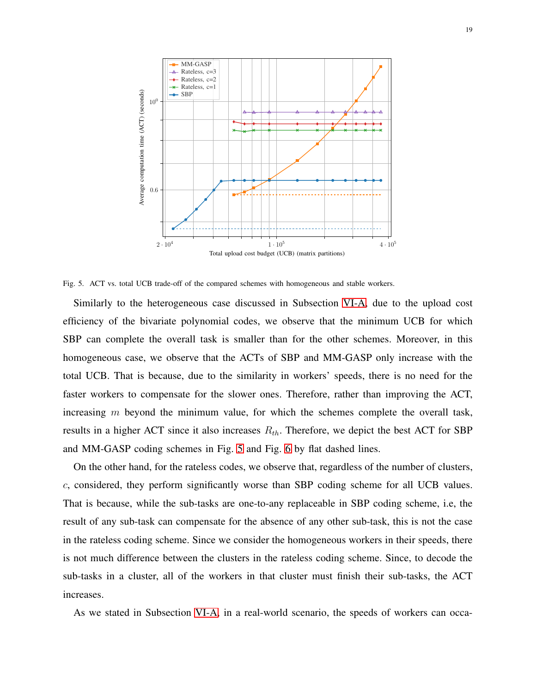

<span id="page-18-0"></span>Fig. 5. ACT vs. total UCB trade-off of the compared schemes with homogeneous and stable workers.

Similarly to the heterogeneous case discussed in Subsection [VI-A,](#page-13-0) due to the upload cost efficiency of the bivariate polynomial codes, we observe that the minimum UCB for which SBP can complete the overall task is smaller than for the other schemes. Moreover, in this homogeneous case, we observe that the ACTs of SBP and MM-GASP only increase with the total UCB. That is because, due to the similarity in workers' speeds, there is no need for the faster workers to compensate for the slower ones. Therefore, rather than improving the ACT, increasing  $m$  beyond the minimum value, for which the schemes complete the overall task, results in a higher ACT since it also increases  $R_{th}$ . Therefore, we depict the best ACT for SBP and MM-GASP coding schemes in Fig. [5](#page-18-0) and Fig. [6](#page-19-1) by flat dashed lines.

On the other hand, for the rateless codes, we observe that, regardless of the number of clusters, c, considered, they perform significantly worse than SBP coding scheme for all UCB values. That is because, while the sub-tasks are one-to-any replaceable in SBP coding scheme, i.e, the result of any sub-task can compensate for the absence of any other sub-task, this is not the case in the rateless coding scheme. Since we consider the homogeneous workers in their speeds, there is not much difference between the clusters in the rateless coding scheme. Since, to decode the sub-tasks in a cluster, all of the workers in that cluster must finish their sub-tasks, the ACT increases.

As we stated in Subsection [VI-A,](#page-13-0) in a real-world scenario, the speeds of workers can occa-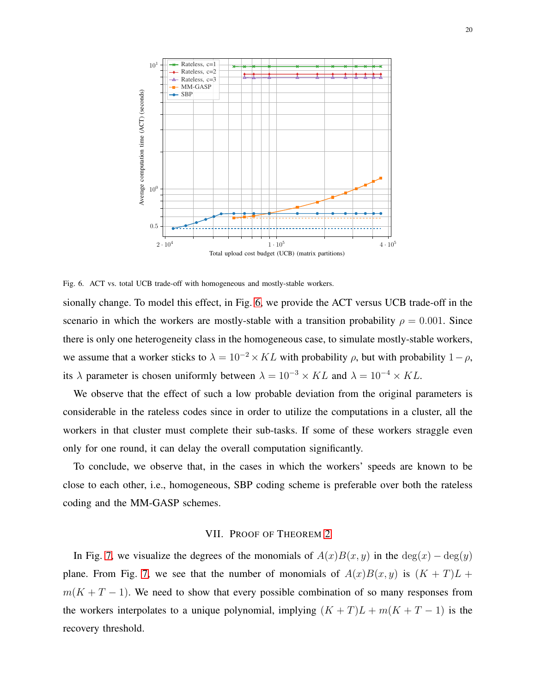

<span id="page-19-1"></span>Fig. 6. ACT vs. total UCB trade-off with homogeneous and mostly-stable workers.

sionally change. To model this effect, in Fig. [6,](#page-19-1) we provide the ACT versus UCB trade-off in the scenario in which the workers are mostly-stable with a transition probability  $\rho = 0.001$ . Since there is only one heterogeneity class in the homogeneous case, to simulate mostly-stable workers, we assume that a worker sticks to  $\lambda = 10^{-2} \times KL$  with probability  $\rho$ , but with probability  $1 - \rho$ , its  $\lambda$  parameter is chosen uniformly between  $\lambda = 10^{-3} \times KL$  and  $\lambda = 10^{-4} \times KL$ .

We observe that the effect of such a low probable deviation from the original parameters is considerable in the rateless codes since in order to utilize the computations in a cluster, all the workers in that cluster must complete their sub-tasks. If some of these workers straggle even only for one round, it can delay the overall computation significantly.

<span id="page-19-0"></span>To conclude, we observe that, in the cases in which the workers' speeds are known to be close to each other, i.e., homogeneous, SBP coding scheme is preferable over both the rateless coding and the MM-GASP schemes.

# VII. PROOF OF THEOREM [2](#page-7-3)

In Fig. [7,](#page-20-0) we visualize the degrees of the monomials of  $A(x)B(x, y)$  in the  $\deg(x) - \deg(y)$ plane. From Fig. [7,](#page-20-0) we see that the number of monomials of  $A(x)B(x, y)$  is  $(K + T)L +$  $m(K + T - 1)$ . We need to show that every possible combination of so many responses from the workers interpolates to a unique polynomial, implying  $(K+T)L + m(K+T-1)$  is the recovery threshold.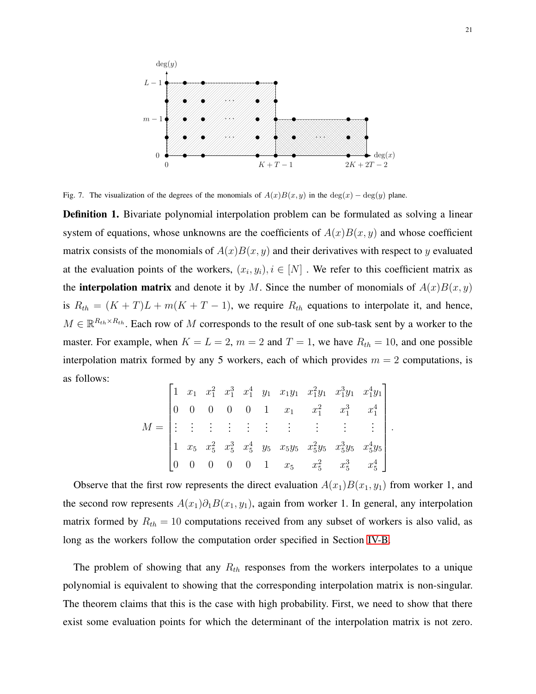

<span id="page-20-0"></span>Fig. 7. The visualization of the degrees of the monomials of  $A(x)B(x, y)$  in the deg(x) – deg(y) plane.

**Definition 1.** Bivariate polynomial interpolation problem can be formulated as solving a linear system of equations, whose unknowns are the coefficients of  $A(x)B(x, y)$  and whose coefficient matrix consists of the monomials of  $A(x)B(x, y)$  and their derivatives with respect to y evaluated at the evaluation points of the workers,  $(x_i, y_i), i \in [N]$ . We refer to this coefficient matrix as the **interpolation matrix** and denote it by M. Since the number of monomials of  $A(x)B(x, y)$ is  $R_{th} = (K + T)L + m(K + T - 1)$ , we require  $R_{th}$  equations to interpolate it, and hence,  $M \in \mathbb{R}^{R_{th} \times R_{th}}$ . Each row of M corresponds to the result of one sub-task sent by a worker to the master. For example, when  $K = L = 2$ ,  $m = 2$  and  $T = 1$ , we have  $R_{th} = 10$ , and one possible interpolation matrix formed by any 5 workers, each of which provides  $m = 2$  computations, is as follows:

$$
M = \begin{bmatrix} 1 & x_1 & x_1^2 & x_1^3 & x_1^4 & y_1 & x_1y_1 & x_1^2y_1 & x_1^3y_1 & x_1^4y_1 \\ 0 & 0 & 0 & 0 & 1 & x_1 & x_1^2 & x_1^3 & x_1^4 \\ \vdots & \vdots & \vdots & \vdots & \vdots & \vdots & \vdots & \vdots & \vdots \\ 1 & x_5 & x_5^2 & x_5^3 & x_5^4 & y_5 & x_5y_5 & x_5^2y_5 & x_5^3y_5 & x_5^4y_5 \\ 0 & 0 & 0 & 0 & 0 & 1 & x_5 & x_5^2 & x_5^3 & x_5^4 \end{bmatrix}
$$

.

Observe that the first row represents the direct evaluation  $A(x_1)B(x_1, y_1)$  from worker 1, and the second row represents  $A(x_1)\partial_1B(x_1, y_1)$ , again from worker 1. In general, any interpolation matrix formed by  $R_{th} = 10$  computations received from any subset of workers is also valid, as long as the workers follow the computation order specified in Section [IV-B.](#page-7-2)

The problem of showing that any  $R_{th}$  responses from the workers interpolates to a unique polynomial is equivalent to showing that the corresponding interpolation matrix is non-singular. The theorem claims that this is the case with high probability. First, we need to show that there exist some evaluation points for which the determinant of the interpolation matrix is not zero.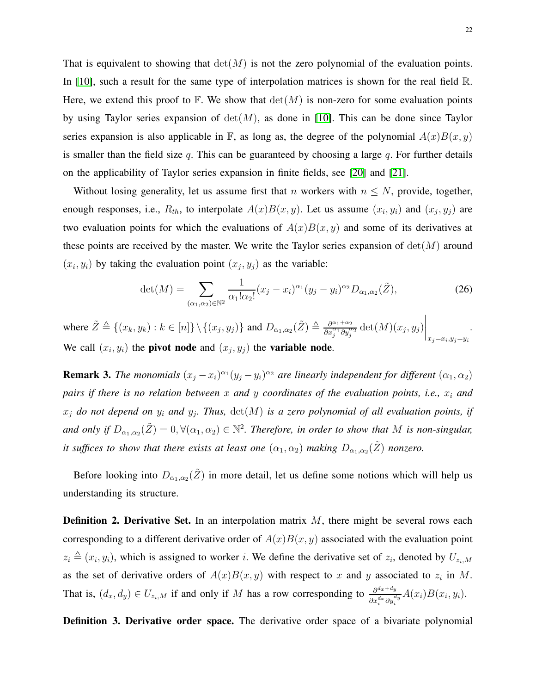That is equivalent to showing that  $\det(M)$  is not the zero polynomial of the evaluation points. In [\[10\]](#page-30-2), such a result for the same type of interpolation matrices is shown for the real field  $\mathbb{R}$ . Here, we extend this proof to  $\mathbb{F}$ . We show that  $\det(M)$  is non-zero for some evaluation points by using Taylor series expansion of  $det(M)$ , as done in [\[10\]](#page-30-2). This can be done since Taylor series expansion is also applicable in  $\mathbb{F}$ , as long as, the degree of the polynomial  $A(x)B(x, y)$ is smaller than the field size  $q$ . This can be guaranteed by choosing a large  $q$ . For further details on the applicability of Taylor series expansion in finite fields, see [\[20\]](#page-30-11) and [\[21\]](#page-30-12).

Without losing generality, let us assume first that n workers with  $n \leq N$ , provide, together, enough responses, i.e.,  $R_{th}$ , to interpolate  $A(x)B(x, y)$ . Let us assume  $(x_i, y_i)$  and  $(x_j, y_j)$  are two evaluation points for which the evaluations of  $A(x)B(x, y)$  and some of its derivatives at these points are received by the master. We write the Taylor series expansion of  $det(M)$  around  $(x_i, y_i)$  by taking the evaluation point  $(x_j, y_j)$  as the variable:

$$
\det(M) = \sum_{(\alpha_1, \alpha_2) \in \mathbb{N}^2} \frac{1}{\alpha_1! \alpha_2!} (x_j - x_i)^{\alpha_1} (y_j - y_i)^{\alpha_2} D_{\alpha_1, \alpha_2}(\tilde{Z}), \tag{26}
$$

where  $\tilde{Z} \triangleq \{(x_k, y_k) : k \in [n] \} \setminus \{(x_j, y_j)\}$  and  $D_{\alpha_1, \alpha_2}(\tilde{Z}) \triangleq \frac{\partial^{\alpha_1 + \alpha_2}}{\partial x_i^{\alpha_1} \partial y_i^{\alpha_2}}$  $\frac{\partial^{\alpha_1+\alpha_2}}{\partial x_j^{\alpha_1}\partial y_j^{\alpha_2}}\det(M)(x_j,y_j)$  $\bigg|_{x_j=x_i,y_j=y_i}$ . We call  $(x_i, y_i)$  the **pivot node** and  $(x_j, y_j)$  the **variable node**.

**Remark 3.** *The monomials*  $(x_j - x_i)^{\alpha_1}(y_j - y_i)^{\alpha_2}$  are linearly independent for different  $(\alpha_1, \alpha_2)$ *pairs if there is no relation between* x *and* y *coordinates of the evaluation points, i.e.,* x<sup>i</sup> *and*  $x_j$  do not depend on  $y_i$  and  $y_j$ . Thus,  $\det(M)$  is a zero polynomial of all evaluation points, if and only if  $D_{\alpha_1,\alpha_2}(\tilde{Z})=0, \forall (\alpha_1,\alpha_2) \in \mathbb{N}^2$ . Therefore, in order to show that M is non-singular, *it suffices to show that there exists at least one*  $(\alpha_1, \alpha_2)$  *making*  $D_{\alpha_1, \alpha_2}(\tilde{Z})$  *nonzero.* 

Before looking into  $D_{\alpha_1,\alpha_2}(\tilde{Z})$  in more detail, let us define some notions which will help us understanding its structure.

**Definition 2. Derivative Set.** In an interpolation matrix  $M$ , there might be several rows each corresponding to a different derivative order of  $A(x)B(x, y)$  associated with the evaluation point  $z_i \triangleq (x_i, y_i)$ , which is assigned to worker i. We define the derivative set of  $z_i$ , denoted by  $U_{z_i,M}$ as the set of derivative orders of  $A(x)B(x, y)$  with respect to x and y associated to  $z_i$  in M. That is,  $(d_x, d_y) \in U_{z_i,M}$  if and only if M has a row corresponding to  $\frac{\partial^{d_x+d_y}}{\partial x^{d_x} \partial u_x^{d_x}}$  $\frac{\partial^{ax+ay}}{\partial x_i^{d_x} \partial y_i^{dy}} A(x_i) B(x_i, y_i).$ 

Definition 3. Derivative order space. The derivative order space of a bivariate polynomial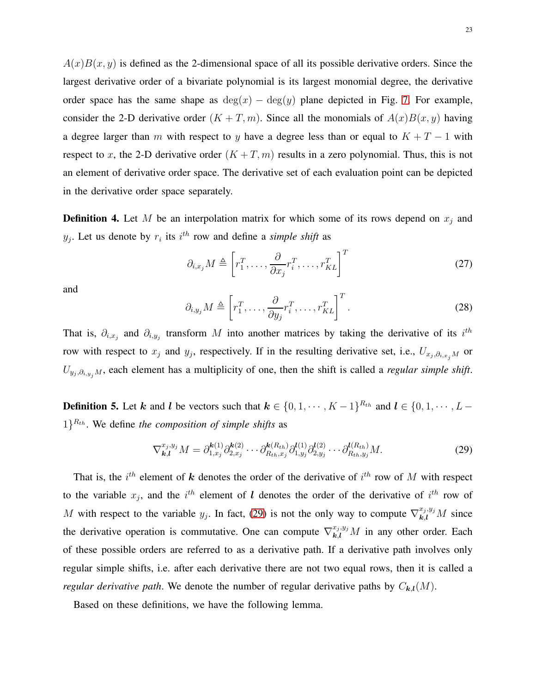$A(x)B(x, y)$  is defined as the 2-dimensional space of all its possible derivative orders. Since the largest derivative order of a bivariate polynomial is its largest monomial degree, the derivative order space has the same shape as  $deg(x) - deg(y)$  plane depicted in Fig. [7.](#page-20-0) For example, consider the 2-D derivative order  $(K + T, m)$ . Since all the monomials of  $A(x)B(x, y)$  having a degree larger than m with respect to y have a degree less than or equal to  $K + T - 1$  with respect to x, the 2-D derivative order  $(K + T, m)$  results in a zero polynomial. Thus, this is not an element of derivative order space. The derivative set of each evaluation point can be depicted in the derivative order space separately.

**Definition 4.** Let M be an interpolation matrix for which some of its rows depend on  $x_j$  and  $y_j$ . Let us denote by  $r_i$  its  $i^{th}$  row and define a *simple shift* as

$$
\partial_{i,x_j} M \triangleq \left[ r_1^T, \dots, \frac{\partial}{\partial x_j} r_i^T, \dots, r_{KL}^T \right]^T \tag{27}
$$

and

$$
\partial_{i,y_j} M \triangleq \left[ r_1^T, \dots, \frac{\partial}{\partial y_j} r_i^T, \dots, r_{KL}^T \right]^T.
$$
 (28)

That is,  $\partial_{i,x_j}$  and  $\partial_{i,y_j}$  transform M into another matrices by taking the derivative of its  $i^{th}$ row with respect to  $x_j$  and  $y_j$ , respectively. If in the resulting derivative set, i.e.,  $U_{x_j,\partial_{i,x_j}M}$  or  $U_{y_j, \partial_{i, y_j}M}$ , each element has a multiplicity of one, then the shift is called a *regular simple shift*.

**Definition 5.** Let k and l be vectors such that  $k \in \{0, 1, \dots, K-1\}^{R_{th}}$  and  $l \in \{0, 1, \dots, L-1\}$  $1\}^{R_{th}}$ . We define *the composition of simple shifts* as

<span id="page-22-0"></span>
$$
\nabla_{\mathbf{k},\mathbf{l}}^{x_j,y_j} M = \partial_{1,x_j}^{\mathbf{k}(1)} \partial_{2,x_j}^{\mathbf{k}(2)} \cdots \partial_{R_{th},x_j}^{\mathbf{k}(R_{th})} \partial_{1,y_j}^{\mathbf{l}(1)} \partial_{2,y_j}^{\mathbf{l}(2)} \cdots \partial_{R_{th},y_j}^{\mathbf{l}(R_{th})} M. \tag{29}
$$

That is, the  $i^{th}$  element of k denotes the order of the derivative of  $i^{th}$  row of M with respect to the variable  $x_j$ , and the  $i^{th}$  element of l denotes the order of the derivative of  $i^{th}$  row of M with respect to the variable  $y_j$ . In fact, [\(29\)](#page-22-0) is not the only way to compute  $\nabla_{k,l}^{x_j, y_j} M$  since the derivative operation is commutative. One can compute  $\nabla_{k,l}^{x_j, y_j} M$  in any other order. Each of these possible orders are referred to as a derivative path. If a derivative path involves only regular simple shifts, i.e. after each derivative there are not two equal rows, then it is called a *regular derivative path.* We denote the number of regular derivative paths by  $C_{k,l}(M)$ .

Based on these definitions, we have the following lemma.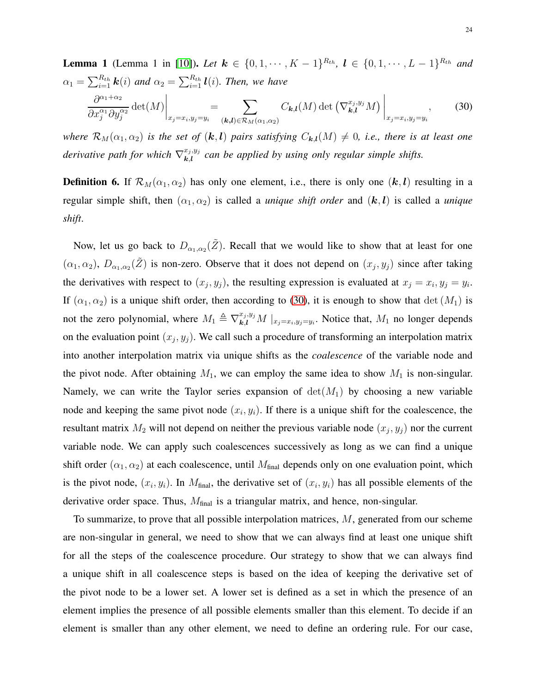<span id="page-23-0"></span>**Lemma 1** (Lemma 1 in [10]). Let 
$$
\mathbf{k} \in \{0, 1, \dots, K-1\}^{R_{th}}, \mathbf{l} \in \{0, 1, \dots, L-1\}^{R_{th}}
$$
 and  
\n
$$
\alpha_1 = \sum_{i=1}^{R_{th}} \mathbf{k}(i) \text{ and } \alpha_2 = \sum_{i=1}^{R_{th}} \mathbf{l}(i). \text{ Then, we have}
$$
\n
$$
\frac{\partial^{\alpha_1 + \alpha_2}}{\partial x_j^{\alpha_1} \partial y_j^{\alpha_2}} \det(M) \Big|_{x_j = x_i, y_j = y_i} = \sum_{(\mathbf{k}, \mathbf{l}) \in \mathcal{R}_M(\alpha_1, \alpha_2)} C_{\mathbf{k}, \mathbf{l}}(M) \det(\nabla_{\mathbf{k}, \mathbf{l}}^{x_j, y_j} M) \Big|_{x_j = x_i, y_j = y_i}, \quad (30)
$$

*where*  $\mathcal{R}_M(\alpha_1, \alpha_2)$  *is the set of*  $(k, l)$  *pairs satisfying*  $C_{k,l}(M) \neq 0$ *, i.e., there is at least one derivative path for which*  $\nabla_{\mathbf{k},\mathbf{l}}^{x_j,y_j}$  $\mathcal{L}_{k,l}^{x_j,y_j}$  can be applied by using only regular simple shifts.

**Definition 6.** If  $\mathcal{R}_M(\alpha_1, \alpha_2)$  has only one element, i.e., there is only one  $(k, l)$  resulting in a regular simple shift, then  $(\alpha_1, \alpha_2)$  is called a *unique shift order* and  $(k, l)$  is called a *unique shift*.

Now, let us go back to  $D_{\alpha_1,\alpha_2}(\tilde{Z})$ . Recall that we would like to show that at least for one  $(\alpha_1, \alpha_2)$ ,  $D_{\alpha_1,\alpha_2}(\tilde{Z})$  is non-zero. Observe that it does not depend on  $(x_j, y_j)$  since after taking the derivatives with respect to  $(x_j, y_j)$ , the resulting expression is evaluated at  $x_j = x_i, y_j = y_i$ . If  $(\alpha_1, \alpha_2)$  is a unique shift order, then according to [\(30\)](#page-23-0), it is enough to show that det  $(M_1)$  is not the zero polynomial, where  $M_1 \triangleq \nabla_{k,l}^{x_j, y_j} M \mid_{x_j=x_i, y_j=y_i}$ . Notice that,  $M_1$  no longer depends on the evaluation point  $(x_j, y_j)$ . We call such a procedure of transforming an interpolation matrix into another interpolation matrix via unique shifts as the *coalescence* of the variable node and the pivot node. After obtaining  $M_1$ , we can employ the same idea to show  $M_1$  is non-singular. Namely, we can write the Taylor series expansion of  $det(M_1)$  by choosing a new variable node and keeping the same pivot node  $(x_i, y_i)$ . If there is a unique shift for the coalescence, the resultant matrix  $M_2$  will not depend on neither the previous variable node  $(x_j, y_j)$  nor the current variable node. We can apply such coalescences successively as long as we can find a unique shift order  $(\alpha_1, \alpha_2)$  at each coalescence, until  $M_{final}$  depends only on one evaluation point, which is the pivot node,  $(x_i, y_i)$ . In  $M_{\text{final}}$ , the derivative set of  $(x_i, y_i)$  has all possible elements of the derivative order space. Thus,  $M_{final}$  is a triangular matrix, and hence, non-singular.

To summarize, to prove that all possible interpolation matrices,  $M$ , generated from our scheme are non-singular in general, we need to show that we can always find at least one unique shift for all the steps of the coalescence procedure. Our strategy to show that we can always find a unique shift in all coalescence steps is based on the idea of keeping the derivative set of the pivot node to be a lower set. A lower set is defined as a set in which the presence of an element implies the presence of all possible elements smaller than this element. To decide if an element is smaller than any other element, we need to define an ordering rule. For our case,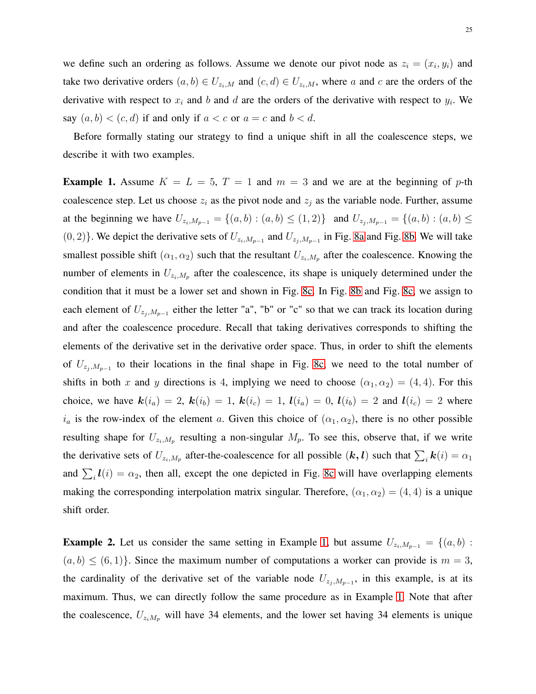we define such an ordering as follows. Assume we denote our pivot node as  $z_i = (x_i, y_i)$  and take two derivative orders  $(a, b) \in U_{z_i,M}$  and  $(c, d) \in U_{z_i,M}$ , where a and c are the orders of the derivative with respect to  $x_i$  and b and d are the orders of the derivative with respect to  $y_i$ . We say  $(a, b) < (c, d)$  if and only if  $a < c$  or  $a = c$  and  $b < d$ .

Before formally stating our strategy to find a unique shift in all the coalescence steps, we describe it with two examples.

<span id="page-24-0"></span>**Example 1.** Assume  $K = L = 5$ ,  $T = 1$  and  $m = 3$  and we are at the beginning of p-th coalescence step. Let us choose  $z_i$  as the pivot node and  $z_j$  as the variable node. Further, assume at the beginning we have  $U_{z_i,M_{p-1}} = \{(a,b) : (a,b) \leq (1,2)\}\$ and  $U_{z_j,M_{p-1}} = \{(a,b) : (a,b) \leq (1,2)\}\$  $(0, 2)$ }. We depict the derivative sets of  $U_{z_i, M_{p-1}}$  and  $U_{z_j, M_{p-1}}$  in Fig. [8a](#page-25-0) and Fig. [8b.](#page-25-1) We will take smallest possible shift  $(\alpha_1, \alpha_2)$  such that the resultant  $U_{z_i, M_p}$  after the coalescence. Knowing the number of elements in  $U_{z_i,M_p}$  after the coalescence, its shape is uniquely determined under the condition that it must be a lower set and shown in Fig. [8c.](#page-25-2) In Fig. [8b](#page-25-1) and Fig. [8c,](#page-25-2) we assign to each element of  $U_{z_j,M_{p-1}}$  either the letter "a", "b" or "c" so that we can track its location during and after the coalescence procedure. Recall that taking derivatives corresponds to shifting the elements of the derivative set in the derivative order space. Thus, in order to shift the elements of  $U_{z_j, M_{p-1}}$  to their locations in the final shape in Fig. [8c,](#page-25-2) we need to the total number of shifts in both x and y directions is 4, implying we need to choose  $(\alpha_1, \alpha_2) = (4, 4)$ . For this choice, we have  $k(i_a) = 2$ ,  $k(i_b) = 1$ ,  $k(i_c) = 1$ ,  $l(i_a) = 0$ ,  $l(i_b) = 2$  and  $l(i_c) = 2$  where  $i_a$  is the row-index of the element a. Given this choice of  $(\alpha_1, \alpha_2)$ , there is no other possible resulting shape for  $U_{z_i,M_p}$  resulting a non-singular  $M_p$ . To see this, observe that, if we write the derivative sets of  $U_{z_i,M_p}$  after-the-coalescence for all possible  $(k, l)$  such that  $\sum_i k(i) = \alpha_1$ and  $\sum_i \mathbf{l}(i) = \alpha_2$ , then all, except the one depicted in Fig. [8c](#page-25-2) will have overlapping elements making the corresponding interpolation matrix singular. Therefore,  $(\alpha_1, \alpha_2) = (4, 4)$  is a unique shift order.

<span id="page-24-1"></span>**Example 2.** Let us consider the same setting in Example [1,](#page-24-0) but assume  $U_{z_i,M_{p-1}} = \{(a, b) :$  $(a, b) \le (6, 1)$ . Since the maximum number of computations a worker can provide is  $m = 3$ , the cardinality of the derivative set of the variable node  $U_{z_j, M_{p-1}}$ , in this example, is at its maximum. Thus, we can directly follow the same procedure as in Example [1.](#page-24-0) Note that after the coalescence,  $U_{z_iM_p}$  will have 34 elements, and the lower set having 34 elements is unique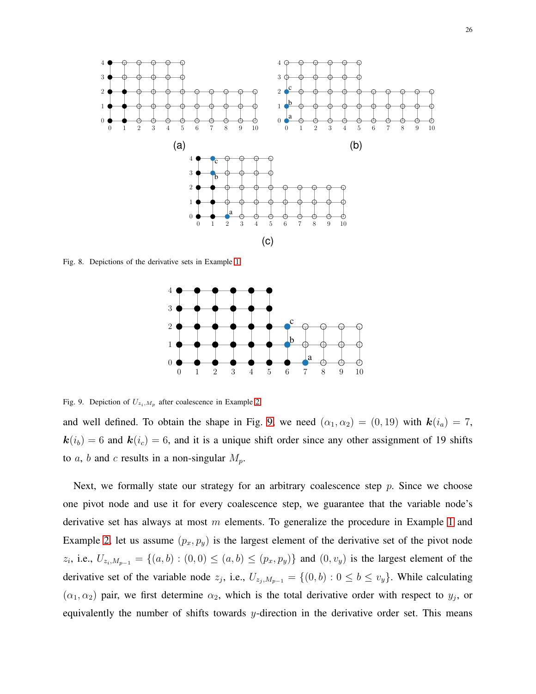<span id="page-25-1"></span><span id="page-25-0"></span>

Fig. 8. Depictions of the derivative sets in Example [1.](#page-24-0)

<span id="page-25-2"></span>

<span id="page-25-3"></span>Fig. 9. Depiction of  $U_{z_i,M_p}$  after coalescence in Example [2](#page-24-1)

and well defined. To obtain the shape in Fig. [9,](#page-25-3) we need  $(\alpha_1, \alpha_2) = (0, 19)$  with  $\mathbf{k}(i_a) = 7$ ,  $k(i_b) = 6$  and  $k(i_c) = 6$ , and it is a unique shift order since any other assignment of 19 shifts to a, b and c results in a non-singular  $M_p$ .

Next, we formally state our strategy for an arbitrary coalescence step  $p$ . Since we choose one pivot node and use it for every coalescence step, we guarantee that the variable node's derivative set has always at most  $m$  elements. To generalize the procedure in Example [1](#page-24-0) and Example [2,](#page-24-1) let us assume  $(p_x, p_y)$  is the largest element of the derivative set of the pivot node  $z_i$ , i.e.,  $U_{z_i,M_{p-1}} = \{(a, b) : (0, 0) \le (a, b) \le (p_x, p_y)\}\$  and  $(0, v_y)$  is the largest element of the derivative set of the variable node  $z_j$ , i.e.,  $U_{z_j,M_{p-1}} = \{(0,b) : 0 \le b \le v_y\}$ . While calculating  $(\alpha_1, \alpha_2)$  pair, we first determine  $\alpha_2$ , which is the total derivative order with respect to  $y_j$ , or equivalently the number of shifts towards y-direction in the derivative order set. This means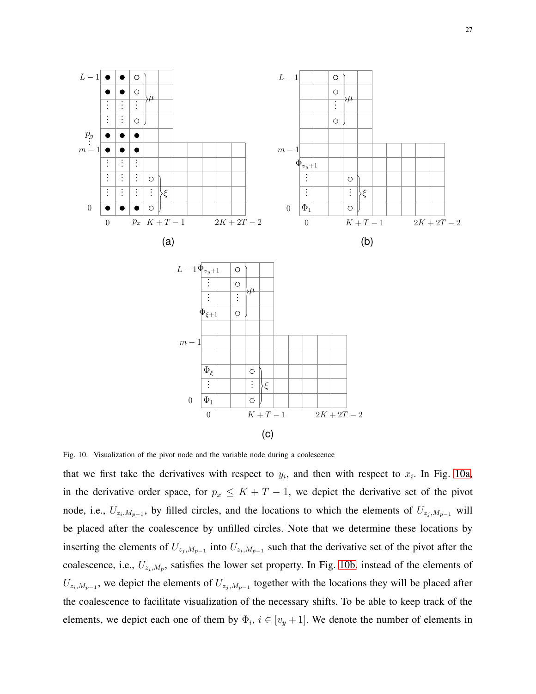27

<span id="page-26-2"></span><span id="page-26-1"></span><span id="page-26-0"></span>

Fig. 10. Visualization of the pivot node and the variable node during a coalescence

that we first take the derivatives with respect to  $y_i$ , and then with respect to  $x_i$ . In Fig. [10a,](#page-26-0) in the derivative order space, for  $p_x \leq K + T - 1$ , we depict the derivative set of the pivot node, i.e.,  $U_{z_i,M_{p-1}}$ , by filled circles, and the locations to which the elements of  $U_{z_j,M_{p-1}}$  will be placed after the coalescence by unfilled circles. Note that we determine these locations by inserting the elements of  $U_{z_j,M_{p-1}}$  into  $U_{z_i,M_{p-1}}$  such that the derivative set of the pivot after the coalescence, i.e.,  $U_{z_i,M_p}$ , satisfies the lower set property. In Fig. [10b,](#page-26-1) instead of the elements of  $U_{z_i,M_{p-1}}$ , we depict the elements of  $U_{z_j,M_{p-1}}$  together with the locations they will be placed after the coalescence to facilitate visualization of the necessary shifts. To be able to keep track of the elements, we depict each one of them by  $\Phi_i$ ,  $i \in [v_y + 1]$ . We denote the number of elements in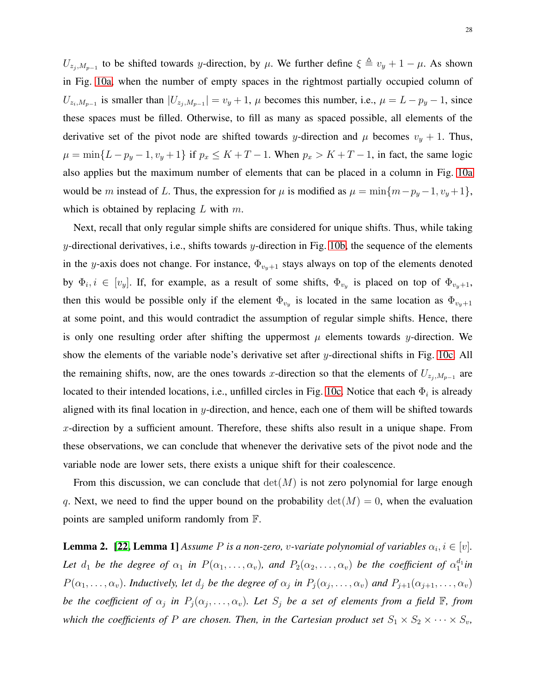$U_{z_j, M_{p-1}}$  to be shifted towards y-direction, by  $\mu$ . We further define  $\xi \triangleq v_y + 1 - \mu$ . As shown in Fig. [10a,](#page-26-0) when the number of empty spaces in the rightmost partially occupied column of  $U_{z_i,M_{p-1}}$  is smaller than  $|U_{z_j,M_{p-1}}| = v_y + 1$ ,  $\mu$  becomes this number, i.e.,  $\mu = L - p_y - 1$ , since these spaces must be filled. Otherwise, to fill as many as spaced possible, all elements of the derivative set of the pivot node are shifted towards y-direction and  $\mu$  becomes  $v_y + 1$ . Thus,  $\mu = \min\{L - p_y - 1, v_y + 1\}$  if  $p_x \le K + T - 1$ . When  $p_x > K + T - 1$ , in fact, the same logic also applies but the maximum number of elements that can be placed in a column in Fig. [10a](#page-26-0) would be m instead of L. Thus, the expression for  $\mu$  is modified as  $\mu = \min\{m-p_y-1, v_y+1\}$ , which is obtained by replacing  $L$  with  $m$ .

Next, recall that only regular simple shifts are considered for unique shifts. Thus, while taking y-directional derivatives, i.e., shifts towards y-direction in Fig. [10b,](#page-26-1) the sequence of the elements in the y-axis does not change. For instance,  $\Phi_{v_n+1}$  stays always on top of the elements denoted by  $\Phi_i, i \in [v_y]$ . If, for example, as a result of some shifts,  $\Phi_{v_y}$  is placed on top of  $\Phi_{v_y+1}$ , then this would be possible only if the element  $\Phi_{v_y}$  is located in the same location as  $\Phi_{v_y+1}$ at some point, and this would contradict the assumption of regular simple shifts. Hence, there is only one resulting order after shifting the uppermost  $\mu$  elements towards y-direction. We show the elements of the variable node's derivative set after y-directional shifts in Fig. [10c.](#page-26-2) All the remaining shifts, now, are the ones towards x-direction so that the elements of  $U_{z_j, M_{p-1}}$  are located to their intended locations, i.e., unfilled circles in Fig. [10c.](#page-26-2) Notice that each  $\Phi_i$  is already aligned with its final location in  $y$ -direction, and hence, each one of them will be shifted towards x-direction by a sufficient amount. Therefore, these shifts also result in a unique shape. From these observations, we can conclude that whenever the derivative sets of the pivot node and the variable node are lower sets, there exists a unique shift for their coalescence.

From this discussion, we can conclude that  $det(M)$  is not zero polynomial for large enough q. Next, we need to find the upper bound on the probability  $det(M) = 0$ , when the evaluation points are sampled uniform randomly from F.

<span id="page-27-0"></span>**Lemma 2.** [\[22,](#page-30-13) Lemma 1] Assume P is a non-zero, v-variate polynomial of variables  $\alpha_i, i \in [v]$ . Let  $d_1$  be the degree of  $\alpha_1$  in  $P(\alpha_1,\ldots,\alpha_v)$ , and  $P_2(\alpha_2,\ldots,\alpha_v)$  be the coefficient of  $\alpha_1^{d_1}$  $i_1^{d_1}$ in  $P(\alpha_1,\ldots,\alpha_v)$ . Inductively, let  $d_j$  be the degree of  $\alpha_j$  in  $P_j(\alpha_j,\ldots,\alpha_v)$  and  $P_{j+1}(\alpha_{j+1},\ldots,\alpha_v)$ *be the coefficient of*  $\alpha_j$  *in*  $P_j(\alpha_j,\ldots,\alpha_v)$ . Let  $S_j$  *be a set of elements from a field*  $\mathbb{F}$ *, from which the coefficients of* P *are chosen. Then, in the Cartesian product set*  $S_1 \times S_2 \times \cdots \times S_v$ *,*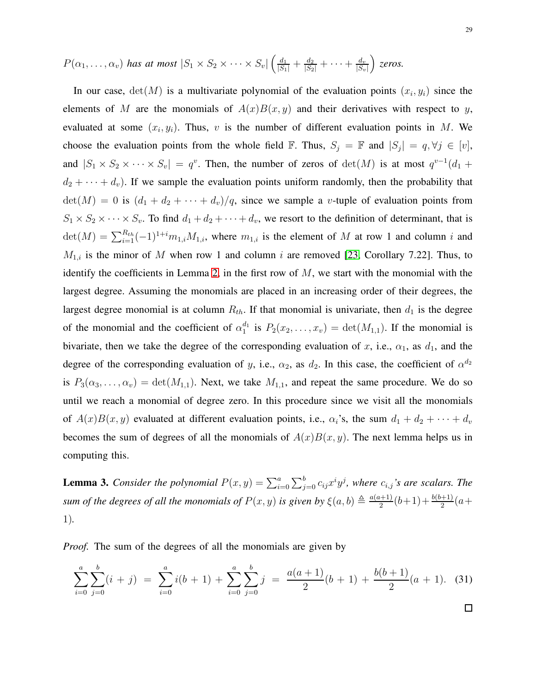$$
P(\alpha_1,\ldots,\alpha_v)
$$
 has at most  $|S_1 \times S_2 \times \cdots \times S_v| \left( \frac{d_1}{|S_1|} + \frac{d_2}{|S_2|} + \cdots + \frac{d_v}{|S_v|} \right)$  zeros.

In our case,  $det(M)$  is a multivariate polynomial of the evaluation points  $(x_i, y_i)$  since the elements of M are the monomials of  $A(x)B(x, y)$  and their derivatives with respect to y, evaluated at some  $(x_i, y_i)$ . Thus, v is the number of different evaluation points in M. We choose the evaluation points from the whole field  $\mathbb F$ . Thus,  $S_j = \mathbb F$  and  $|S_j| = q, \forall j \in [v]$ , and  $|S_1 \times S_2 \times \cdots \times S_v| = q^v$ . Then, the number of zeros of  $\det(M)$  is at most  $q^{v-1}(d_1 +$  $d_2 + \cdots + d_v$ ). If we sample the evaluation points uniform randomly, then the probability that  $\det(M) = 0$  is  $(d_1 + d_2 + \cdots + d_v)/q$ , since we sample a *v*-tuple of evaluation points from  $S_1 \times S_2 \times \cdots \times S_v$ . To find  $d_1 + d_2 + \cdots + d_v$ , we resort to the definition of determinant, that is  $\det(M) = \sum_{i=1}^{R_{th}} (-1)^{1+i} m_{1,i} M_{1,i}$ , where  $m_{1,i}$  is the element of M at row 1 and column i and  $M_{1,i}$  is the minor of M when row 1 and column i are removed [\[23,](#page-30-14) Corollary 7.22]. Thus, to identify the coefficients in Lemma [2,](#page-27-0) in the first row of  $M$ , we start with the monomial with the largest degree. Assuming the monomials are placed in an increasing order of their degrees, the largest degree monomial is at column  $R_{th}$ . If that monomial is univariate, then  $d_1$  is the degree of the monomial and the coefficient of  $\alpha_1^{d_1}$  $I_1^{a_1}$  is  $P_2(x_2,...,x_v) = \det(M_{1,1})$ . If the monomial is bivariate, then we take the degree of the corresponding evaluation of x, i.e.,  $\alpha_1$ , as  $d_1$ , and the degree of the corresponding evaluation of y, i.e.,  $\alpha_2$ , as  $d_2$ . In this case, the coefficient of  $\alpha^{d_2}$ is  $P_3(\alpha_3,\ldots,\alpha_v) = \det(M_{1,1})$ . Next, we take  $M_{1,1}$ , and repeat the same procedure. We do so until we reach a monomial of degree zero. In this procedure since we visit all the monomials of  $A(x)B(x, y)$  evaluated at different evaluation points, i.e.,  $\alpha_i$ 's, the sum  $d_1 + d_2 + \cdots + d_v$ becomes the sum of degrees of all the monomials of  $A(x)B(x, y)$ . The next lemma helps us in computing this.

<span id="page-28-0"></span>**Lemma 3.** Consider the polynomial  $P(x, y) = \sum_{i=0}^{a} \sum_{j=0}^{b} c_{ij} x^{i} y^{j}$ , where  $c_{i,j}$ 's are scalars. The *sum of the degrees of all the monomials of*  $P(x, y)$  *is given by*  $\xi(a, b) \triangleq \frac{a(a+1)}{2}$  $\frac{b(b+1)}{2}(b+1)+\frac{b(b+1)}{2}(a+$ 1)*.*

*Proof.* The sum of the degrees of all the monomials are given by

$$
\sum_{i=0}^{a} \sum_{j=0}^{b} (i+j) = \sum_{i=0}^{a} i(b+1) + \sum_{i=0}^{a} \sum_{j=0}^{b} j = \frac{a(a+1)}{2}(b+1) + \frac{b(b+1)}{2}(a+1). \tag{31}
$$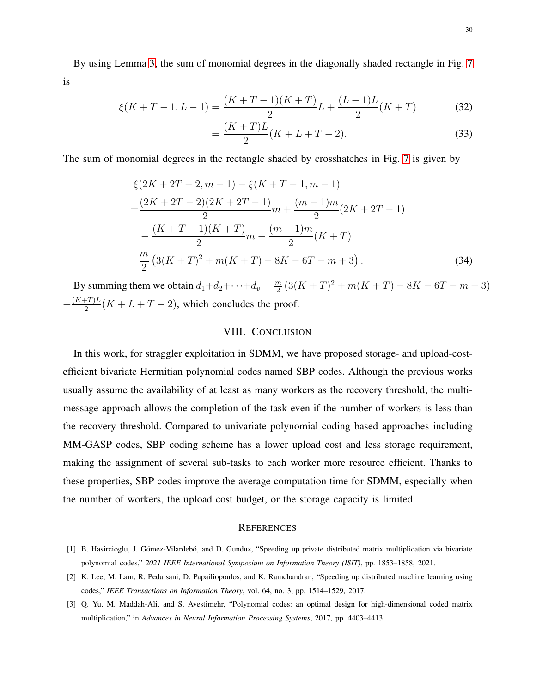By using Lemma [3,](#page-28-0) the sum of monomial degrees in the diagonally shaded rectangle in Fig. [7](#page-20-0) is

$$
\xi(K+T-1,L-1) = \frac{(K+T-1)(K+T)}{2}L + \frac{(L-1)L}{2}(K+T) \tag{32}
$$

$$
=\frac{(K+T)L}{2}(K+L+T-2).
$$
\n(33)

The sum of monomial degrees in the rectangle shaded by crosshatches in Fig. [7](#page-20-0) is given by

$$
\xi(2K + 2T - 2, m - 1) - \xi(K + T - 1, m - 1)
$$
  
= 
$$
\frac{(2K + 2T - 2)(2K + 2T - 1)}{2}m + \frac{(m - 1)m}{2}(2K + 2T - 1)
$$
  

$$
-\frac{(K + T - 1)(K + T)}{2}m - \frac{(m - 1)m}{2}(K + T)
$$
  
= 
$$
\frac{m}{2}(3(K + T)^{2} + m(K + T) - 8K - 6T - m + 3).
$$
 (34)

By summing them we obtain  $d_1 + d_2 + \cdots + d_v = \frac{m}{2}$  $\frac{m}{2}(3(K+T)^2+m(K+T)-8K-6T-m+3)$  $+\frac{(K+T)L}{2}$  $\frac{2+1}{2}(K+L+T-2)$ , which concludes the proof.

# VIII. CONCLUSION

In this work, for straggler exploitation in SDMM, we have proposed storage- and upload-costefficient bivariate Hermitian polynomial codes named SBP codes. Although the previous works usually assume the availability of at least as many workers as the recovery threshold, the multimessage approach allows the completion of the task even if the number of workers is less than the recovery threshold. Compared to univariate polynomial coding based approaches including MM-GASP codes, SBP coding scheme has a lower upload cost and less storage requirement, making the assignment of several sub-tasks to each worker more resource efficient. Thanks to these properties, SBP codes improve the average computation time for SDMM, especially when the number of workers, the upload cost budget, or the storage capacity is limited.

#### **REFERENCES**

- <span id="page-29-1"></span><span id="page-29-0"></span>[1] B. Hasircioglu, J. Gómez-Vilardebó, and D. Gunduz, "Speeding up private distributed matrix multiplication via bivariate polynomial codes," *2021 IEEE International Symposium on Information Theory (ISIT)*, pp. 1853–1858, 2021.
- <span id="page-29-2"></span>[2] K. Lee, M. Lam, R. Pedarsani, D. Papailiopoulos, and K. Ramchandran, "Speeding up distributed machine learning using codes," *IEEE Transactions on Information Theory*, vol. 64, no. 3, pp. 1514–1529, 2017.
- [3] Q. Yu, M. Maddah-Ali, and S. Avestimehr, "Polynomial codes: an optimal design for high-dimensional coded matrix multiplication," in *Advances in Neural Information Processing Systems*, 2017, pp. 4403–4413.